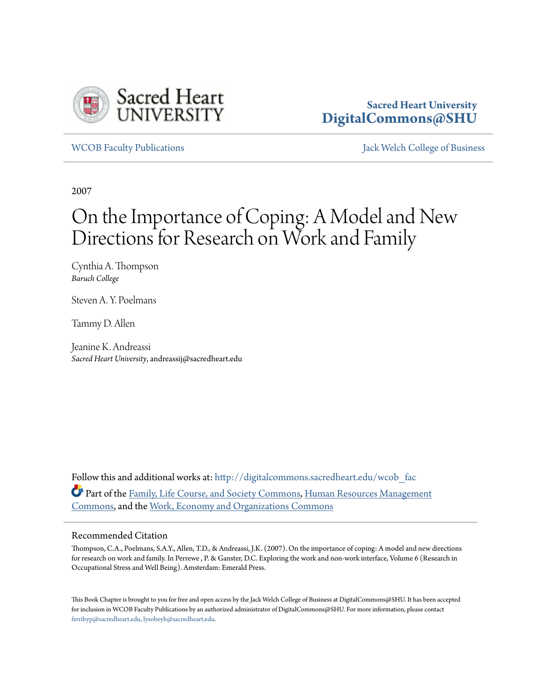

## **Sacred Heart University [DigitalCommons@SHU](http://digitalcommons.sacredheart.edu?utm_source=digitalcommons.sacredheart.edu%2Fwcob_fac%2F239&utm_medium=PDF&utm_campaign=PDFCoverPages)**

[WCOB Faculty Publications](http://digitalcommons.sacredheart.edu/wcob_fac?utm_source=digitalcommons.sacredheart.edu%2Fwcob_fac%2F239&utm_medium=PDF&utm_campaign=PDFCoverPages) [Jack Welch College of Business](http://digitalcommons.sacredheart.edu/wcob?utm_source=digitalcommons.sacredheart.edu%2Fwcob_fac%2F239&utm_medium=PDF&utm_campaign=PDFCoverPages)

2007

# On the Importance of Coping: A Model and New Directions for Research on Work and Family

Cynthia A. Thompson *Baruch College*

Steven A. Y. Poelmans

Tammy D. Allen

Jeanine K. Andreassi *Sacred Heart University*, andreassij@sacredheart.edu

Follow this and additional works at: [http://digitalcommons.sacredheart.edu/wcob\\_fac](http://digitalcommons.sacredheart.edu/wcob_fac?utm_source=digitalcommons.sacredheart.edu%2Fwcob_fac%2F239&utm_medium=PDF&utm_campaign=PDFCoverPages) Part of the [Family, Life Course, and Society Commons](http://network.bepress.com/hgg/discipline/419?utm_source=digitalcommons.sacredheart.edu%2Fwcob_fac%2F239&utm_medium=PDF&utm_campaign=PDFCoverPages), [Human Resources Management](http://network.bepress.com/hgg/discipline/633?utm_source=digitalcommons.sacredheart.edu%2Fwcob_fac%2F239&utm_medium=PDF&utm_campaign=PDFCoverPages) [Commons,](http://network.bepress.com/hgg/discipline/633?utm_source=digitalcommons.sacredheart.edu%2Fwcob_fac%2F239&utm_medium=PDF&utm_campaign=PDFCoverPages) and the [Work, Economy and Organizations Commons](http://network.bepress.com/hgg/discipline/433?utm_source=digitalcommons.sacredheart.edu%2Fwcob_fac%2F239&utm_medium=PDF&utm_campaign=PDFCoverPages)

## Recommended Citation

Thompson, C.A., Poelmans, S.A.Y., Allen, T.D., & Andreassi, J.K. (2007). On the importance of coping: A model and new directions for research on work and family. In Perrewe , P. & Ganster, D.C. Exploring the work and non-work interface, Volume 6 (Research in Occupational Stress and Well Being). Amsterdam: Emerald Press.

This Book Chapter is brought to you for free and open access by the Jack Welch College of Business at DigitalCommons@SHU. It has been accepted for inclusion in WCOB Faculty Publications by an authorized administrator of DigitalCommons@SHU. For more information, please contact [ferribyp@sacredheart.edu, lysobeyb@sacredheart.edu.](mailto:ferribyp@sacredheart.edu,%20lysobeyb@sacredheart.edu)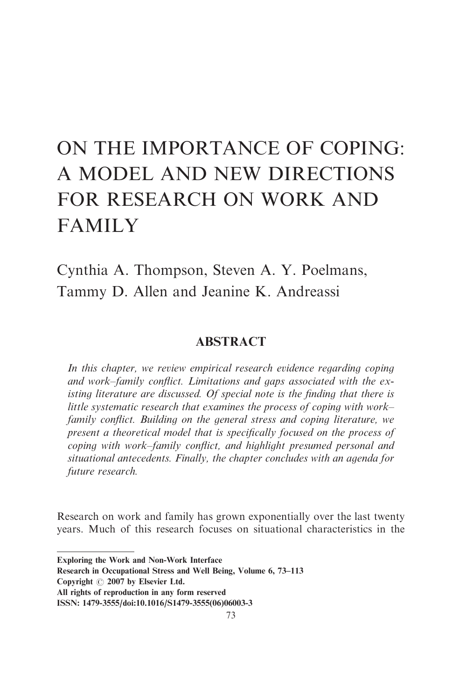## ON THE IMPORTANCE OF COPING: A MODEL AND NEW DIRECTIONS FOR RESEARCH ON WORK AND FAMILY

Cynthia A. Thompson, Steven A. Y. Poelmans, Tammy D. Allen and Jeanine K. Andreassi

## **ABSTRACT**

In this chapter, we review empirical research evidence regarding coping and work–family conflict. Limitations and gaps associated with the existing literature are discussed. Of special note is the finding that there is little systematic research that examines the process of coping with work– family conflict. Building on the general stress and coping literature, we present a theoretical model that is specifically focused on the process of coping with work–family conflict, and highlight presumed personal and situational antecedents. Finally, the chapter concludes with an agenda for future research.

Research on work and family has grown exponentially over the last twenty years. Much of this research focuses on situational characteristics in the

Copyright  $\odot$  2007 by Elsevier Ltd.

All rights of reproduction in any form reserved

ISSN: 1479-3555/doi:10.1016/S1479-3555(06)06003-3

Exploring the Work and Non-Work Interface

Research in Occupational Stress and Well Being, Volume 6, 73–113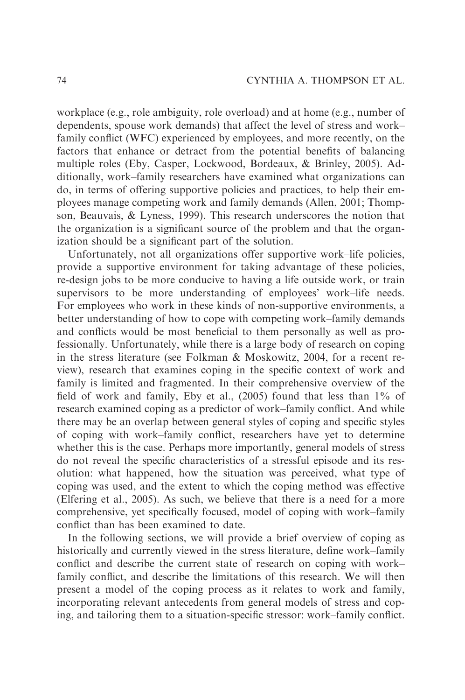workplace (e.g., role ambiguity, role overload) and at home (e.g., number of dependents, spouse work demands) that affect the level of stress and work– family conflict (WFC) experienced by employees, and more recently, on the factors that enhance or detract from the potential benefits of balancing multiple roles (Eby, Casper, Lockwood, Bordeaux, & Brinley, 2005). Additionally, work–family researchers have examined what organizations can do, in terms of offering supportive policies and practices, to help their employees manage competing work and family demands (Allen, 2001; Thompson, Beauvais, & Lyness, 1999). This research underscores the notion that the organization is a significant source of the problem and that the organization should be a significant part of the solution.

Unfortunately, not all organizations offer supportive work–life policies, provide a supportive environment for taking advantage of these policies, re-design jobs to be more conducive to having a life outside work, or train supervisors to be more understanding of employees' work–life needs. For employees who work in these kinds of non-supportive environments, a better understanding of how to cope with competing work–family demands and conflicts would be most beneficial to them personally as well as professionally. Unfortunately, while there is a large body of research on coping in the stress literature (see Folkman & Moskowitz, 2004, for a recent review), research that examines coping in the specific context of work and family is limited and fragmented. In their comprehensive overview of the field of work and family, Eby et al., (2005) found that less than 1% of research examined coping as a predictor of work–family conflict. And while there may be an overlap between general styles of coping and specific styles of coping with work–family conflict, researchers have yet to determine whether this is the case. Perhaps more importantly, general models of stress do not reveal the specific characteristics of a stressful episode and its resolution: what happened, how the situation was perceived, what type of coping was used, and the extent to which the coping method was effective (Elfering et al., 2005). As such, we believe that there is a need for a more comprehensive, yet specifically focused, model of coping with work–family conflict than has been examined to date.

In the following sections, we will provide a brief overview of coping as historically and currently viewed in the stress literature, define work–family conflict and describe the current state of research on coping with work– family conflict, and describe the limitations of this research. We will then present a model of the coping process as it relates to work and family, incorporating relevant antecedents from general models of stress and coping, and tailoring them to a situation-specific stressor: work–family conflict.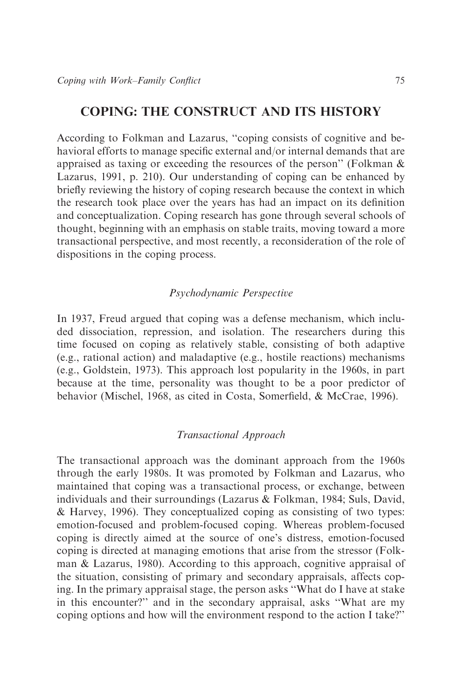## COPING: THE CONSTRUCT AND ITS HISTORY

According to Folkman and Lazarus, ''coping consists of cognitive and behavioral efforts to manage specific external and/or internal demands that are appraised as taxing or exceeding the resources of the person" (Folkman  $\&$ Lazarus, 1991, p. 210). Our understanding of coping can be enhanced by briefly reviewing the history of coping research because the context in which the research took place over the years has had an impact on its definition and conceptualization. Coping research has gone through several schools of thought, beginning with an emphasis on stable traits, moving toward a more transactional perspective, and most recently, a reconsideration of the role of dispositions in the coping process.

## Psychodynamic Perspective

In 1937, Freud argued that coping was a defense mechanism, which included dissociation, repression, and isolation. The researchers during this time focused on coping as relatively stable, consisting of both adaptive (e.g., rational action) and maladaptive (e.g., hostile reactions) mechanisms (e.g., Goldstein, 1973). This approach lost popularity in the 1960s, in part because at the time, personality was thought to be a poor predictor of behavior (Mischel, 1968, as cited in Costa, Somerfield, & McCrae, 1996).

## Transactional Approach

The transactional approach was the dominant approach from the 1960s through the early 1980s. It was promoted by Folkman and Lazarus, who maintained that coping was a transactional process, or exchange, between individuals and their surroundings (Lazarus & Folkman, 1984; Suls, David, & Harvey, 1996). They conceptualized coping as consisting of two types: emotion-focused and problem-focused coping. Whereas problem-focused coping is directly aimed at the source of one's distress, emotion-focused coping is directed at managing emotions that arise from the stressor (Folkman & Lazarus, 1980). According to this approach, cognitive appraisal of the situation, consisting of primary and secondary appraisals, affects coping. In the primary appraisal stage, the person asks ''What do I have at stake in this encounter?'' and in the secondary appraisal, asks ''What are my coping options and how will the environment respond to the action I take?''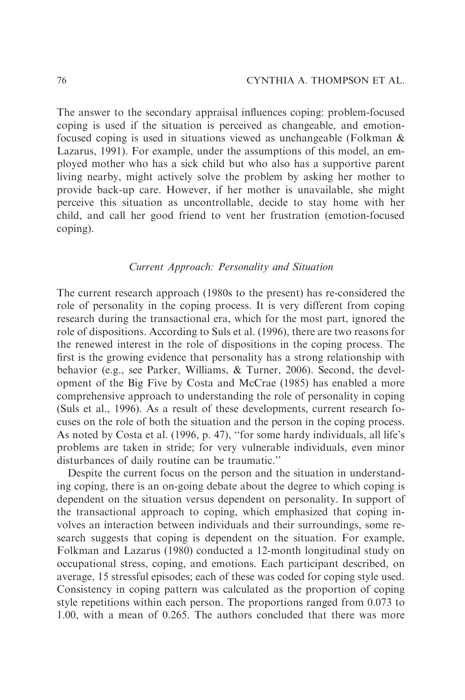The answer to the secondary appraisal influences coping: problem-focused coping is used if the situation is perceived as changeable, and emotionfocused coping is used in situations viewed as unchangeable (Folkman & Lazarus, 1991). For example, under the assumptions of this model, an employed mother who has a sick child but who also has a supportive parent living nearby, might actively solve the problem by asking her mother to provide back-up care. However, if her mother is unavailable, she might perceive this situation as uncontrollable, decide to stay home with her child, and call her good friend to vent her frustration (emotion-focused coping).

#### Current Approach: Personality and Situation

The current research approach (1980s to the present) has re-considered the role of personality in the coping process. It is very different from coping research during the transactional era, which for the most part, ignored the role of dispositions. According to Suls et al. (1996), there are two reasons for the renewed interest in the role of dispositions in the coping process. The first is the growing evidence that personality has a strong relationship with behavior (e.g., see Parker, Williams, & Turner, 2006). Second, the development of the Big Five by Costa and McCrae (1985) has enabled a more comprehensive approach to understanding the role of personality in coping (Suls et al., 1996). As a result of these developments, current research focuses on the role of both the situation and the person in the coping process. As noted by Costa et al. (1996, p. 47), ''for some hardy individuals, all life's problems are taken in stride; for very vulnerable individuals, even minor disturbances of daily routine can be traumatic.''

Despite the current focus on the person and the situation in understanding coping, there is an on-going debate about the degree to which coping is dependent on the situation versus dependent on personality. In support of the transactional approach to coping, which emphasized that coping involves an interaction between individuals and their surroundings, some research suggests that coping is dependent on the situation. For example, Folkman and Lazarus (1980) conducted a 12-month longitudinal study on occupational stress, coping, and emotions. Each participant described, on average, 15 stressful episodes; each of these was coded for coping style used. Consistency in coping pattern was calculated as the proportion of coping style repetitions within each person. The proportions ranged from 0.073 to 1.00, with a mean of 0.265. The authors concluded that there was more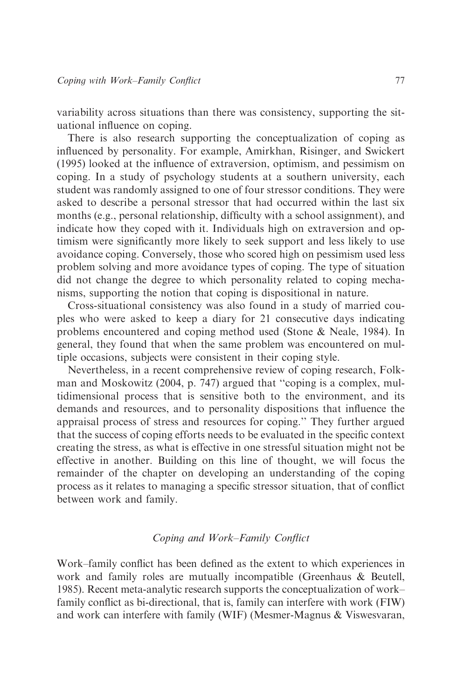variability across situations than there was consistency, supporting the situational influence on coping.

There is also research supporting the conceptualization of coping as influenced by personality. For example, Amirkhan, Risinger, and Swickert (1995) looked at the influence of extraversion, optimism, and pessimism on coping. In a study of psychology students at a southern university, each student was randomly assigned to one of four stressor conditions. They were asked to describe a personal stressor that had occurred within the last six months (e.g., personal relationship, difficulty with a school assignment), and indicate how they coped with it. Individuals high on extraversion and optimism were significantly more likely to seek support and less likely to use avoidance coping. Conversely, those who scored high on pessimism used less problem solving and more avoidance types of coping. The type of situation did not change the degree to which personality related to coping mechanisms, supporting the notion that coping is dispositional in nature.

Cross-situational consistency was also found in a study of married couples who were asked to keep a diary for 21 consecutive days indicating problems encountered and coping method used (Stone & Neale, 1984). In general, they found that when the same problem was encountered on multiple occasions, subjects were consistent in their coping style.

Nevertheless, in a recent comprehensive review of coping research, Folkman and Moskowitz (2004, p. 747) argued that ''coping is a complex, multidimensional process that is sensitive both to the environment, and its demands and resources, and to personality dispositions that influence the appraisal process of stress and resources for coping.'' They further argued that the success of coping efforts needs to be evaluated in the specific context creating the stress, as what is effective in one stressful situation might not be effective in another. Building on this line of thought, we will focus the remainder of the chapter on developing an understanding of the coping process as it relates to managing a specific stressor situation, that of conflict between work and family.

#### Coping and Work–Family Conflict

Work–family conflict has been defined as the extent to which experiences in work and family roles are mutually incompatible (Greenhaus & Beutell, 1985). Recent meta-analytic research supports the conceptualization of work– family conflict as bi-directional, that is, family can interfere with work (FIW) and work can interfere with family (WIF) (Mesmer-Magnus & Viswesvaran,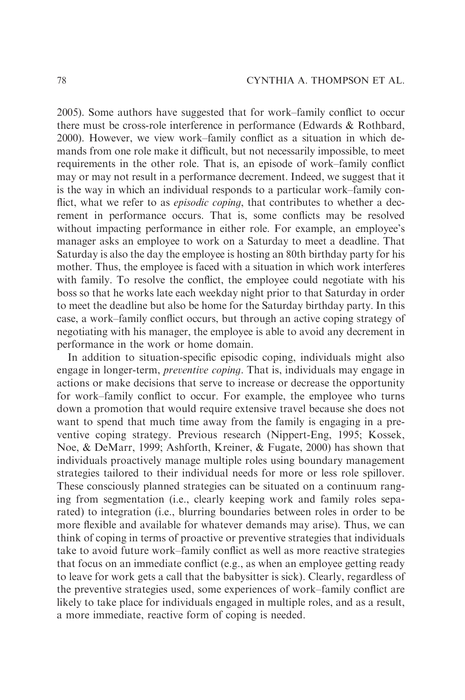2005). Some authors have suggested that for work–family conflict to occur there must be cross-role interference in performance (Edwards & Rothbard, 2000). However, we view work–family conflict as a situation in which demands from one role make it difficult, but not necessarily impossible, to meet requirements in the other role. That is, an episode of work–family conflict may or may not result in a performance decrement. Indeed, we suggest that it is the way in which an individual responds to a particular work–family conflict, what we refer to as *episodic coping*, that contributes to whether a decrement in performance occurs. That is, some conflicts may be resolved without impacting performance in either role. For example, an employee's manager asks an employee to work on a Saturday to meet a deadline. That Saturday is also the day the employee is hosting an 80th birthday party for his mother. Thus, the employee is faced with a situation in which work interferes with family. To resolve the conflict, the employee could negotiate with his boss so that he works late each weekday night prior to that Saturday in order to meet the deadline but also be home for the Saturday birthday party. In this case, a work–family conflict occurs, but through an active coping strategy of negotiating with his manager, the employee is able to avoid any decrement in performance in the work or home domain.

In addition to situation-specific episodic coping, individuals might also engage in longer-term, preventive coping. That is, individuals may engage in actions or make decisions that serve to increase or decrease the opportunity for work–family conflict to occur. For example, the employee who turns down a promotion that would require extensive travel because she does not want to spend that much time away from the family is engaging in a preventive coping strategy. Previous research (Nippert-Eng, 1995; Kossek, Noe, & DeMarr, 1999; Ashforth, Kreiner, & Fugate, 2000) has shown that individuals proactively manage multiple roles using boundary management strategies tailored to their individual needs for more or less role spillover. These consciously planned strategies can be situated on a continuum ranging from segmentation (i.e., clearly keeping work and family roles separated) to integration (i.e., blurring boundaries between roles in order to be more flexible and available for whatever demands may arise). Thus, we can think of coping in terms of proactive or preventive strategies that individuals take to avoid future work–family conflict as well as more reactive strategies that focus on an immediate conflict (e.g., as when an employee getting ready to leave for work gets a call that the babysitter is sick). Clearly, regardless of the preventive strategies used, some experiences of work–family conflict are likely to take place for individuals engaged in multiple roles, and as a result, a more immediate, reactive form of coping is needed.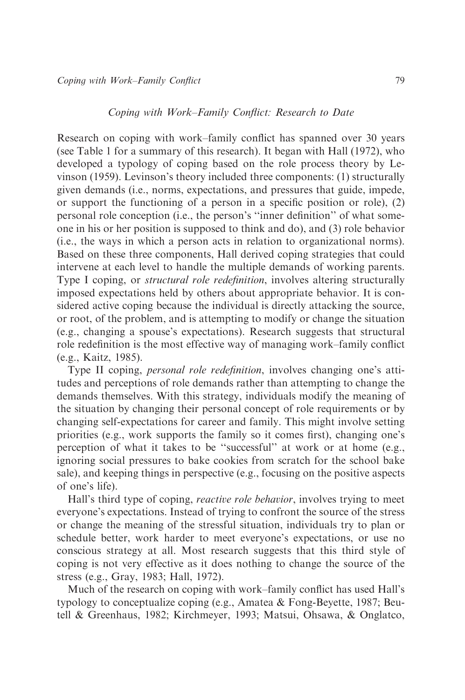Research on coping with work–family conflict has spanned over 30 years (see Table 1 for a summary of this research). It began with Hall (1972), who developed a typology of coping based on the role process theory by Levinson (1959). Levinson's theory included three components: (1) structurally given demands (i.e., norms, expectations, and pressures that guide, impede, or support the functioning of a person in a specific position or role), (2) personal role conception (i.e., the person's ''inner definition'' of what someone in his or her position is supposed to think and do), and (3) role behavior (i.e., the ways in which a person acts in relation to organizational norms). Based on these three components, Hall derived coping strategies that could intervene at each level to handle the multiple demands of working parents. Type I coping, or structural role redefinition, involves altering structurally imposed expectations held by others about appropriate behavior. It is considered active coping because the individual is directly attacking the source, or root, of the problem, and is attempting to modify or change the situation (e.g., changing a spouse's expectations). Research suggests that structural role redefinition is the most effective way of managing work–family conflict (e.g., Kaitz, 1985).

Type II coping, personal role redefinition, involves changing one's attitudes and perceptions of role demands rather than attempting to change the demands themselves. With this strategy, individuals modify the meaning of the situation by changing their personal concept of role requirements or by changing self-expectations for career and family. This might involve setting priorities (e.g., work supports the family so it comes first), changing one's perception of what it takes to be ''successful'' at work or at home (e.g., ignoring social pressures to bake cookies from scratch for the school bake sale), and keeping things in perspective (e.g., focusing on the positive aspects of one's life).

Hall's third type of coping, reactive role behavior, involves trying to meet everyone's expectations. Instead of trying to confront the source of the stress or change the meaning of the stressful situation, individuals try to plan or schedule better, work harder to meet everyone's expectations, or use no conscious strategy at all. Most research suggests that this third style of coping is not very effective as it does nothing to change the source of the stress (e.g., Gray, 1983; Hall, 1972).

Much of the research on coping with work–family conflict has used Hall's typology to conceptualize coping (e.g., Amatea & Fong-Beyette, 1987; Beutell & Greenhaus, 1982; Kirchmeyer, 1993; Matsui, Ohsawa, & Onglatco,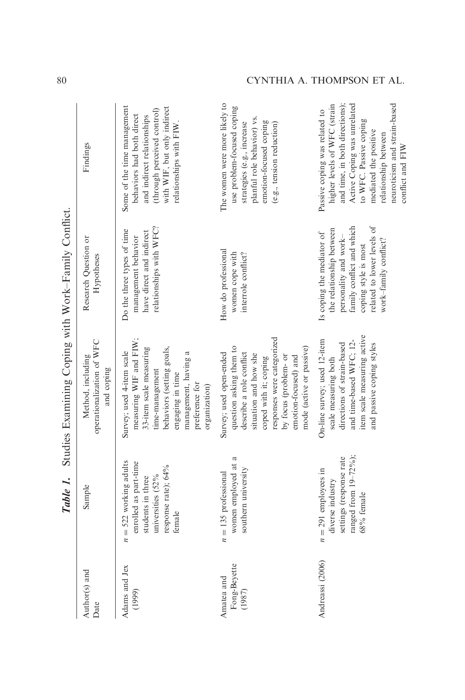|                                      | Table 1.                                                                                                                     | Studies Examining Coping with Work-Family Conflict.                                                                                                                                                                                         |                                                                                                                                                                                            |                                                                                                                                                                                                                                                               |
|--------------------------------------|------------------------------------------------------------------------------------------------------------------------------|---------------------------------------------------------------------------------------------------------------------------------------------------------------------------------------------------------------------------------------------|--------------------------------------------------------------------------------------------------------------------------------------------------------------------------------------------|---------------------------------------------------------------------------------------------------------------------------------------------------------------------------------------------------------------------------------------------------------------|
| Author(s) and<br>Date                | Sample                                                                                                                       | operationalization of WFC<br>Method, including<br>and coping                                                                                                                                                                                | Research Question or<br>Hypotheses                                                                                                                                                         | Findings                                                                                                                                                                                                                                                      |
| Adams and Jex<br>(1999)              | $n = 522$ working adults<br>enrolled as part-time<br>response rate); 64%<br>universities (52%<br>students in three<br>female | measuring WIF and FIW;<br>33-item scale measuring<br>behaviors (setting goals,<br>Survey; used 4-item scale<br>management, having a<br>time-management<br>engaging in time<br>preference for<br>organization)                               | relationships with WFC?<br>Do the three types of time<br>have direct and indirect<br>management behavior                                                                                   | Some of the time management<br>with WIF, but only indirect<br>(through perceived control)<br>behaviors had both direct<br>and indirect relationships<br>relationships with FIW.                                                                               |
| Fong-Beyette<br>Amatea and<br>(1987) | women employed at a<br>southern university<br>$n = 135$ professional                                                         | responses were categorized<br>mode (active or passive)<br>question asking them to<br>describe a role conflict<br>Survey; used open-ended<br>situation and how she<br>by focus (problem- or<br>emotion-focused) and<br>coped with it; coping | How do professional<br>women cope with<br>interrole conflict?                                                                                                                              | The women were more likely to<br>use problem-focused coping<br>planful role behavior) vs.<br>emotion-focused coping<br>strategies (e.g., increase<br>(e.g., tension reduction)                                                                                |
| Andreassi (2006)                     | ranged from $19-72\%$ );<br>settings (response rate<br>$n = 291$ employees in<br>diverse industry<br>68% female              | item scale measuring active<br>On-line survey; used 12-item<br>and time-based WFC; 12-<br>directions of strain-based<br>and passive coping styles<br>scale measuring both                                                                   | related to lower levels of<br>family conflict and which<br>the relationship between<br>Is coping the mediator of<br>personality and work-<br>work-family conflict?<br>coping style is most | Active Coping was unrelated<br>and time, in both directions);<br>neuroticism and strain-based<br>higher levels of WFC (strain<br>Passive coping was related to<br>to WFC. Passive coping<br>mediated the positive<br>relationship between<br>conflict and FIW |

## 80 CYNTHIA A. THOMPSON ET AL.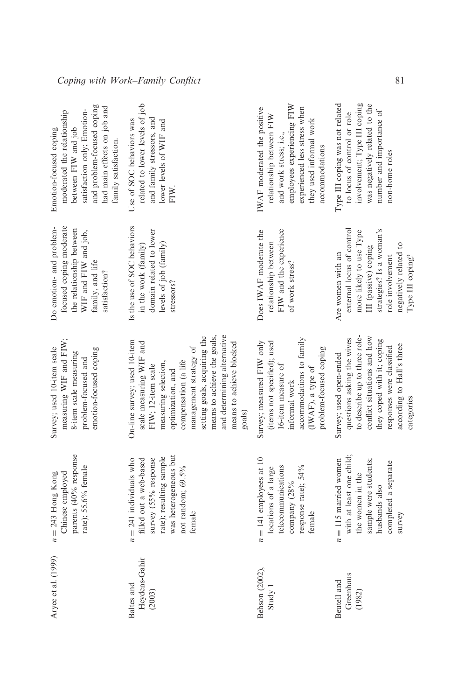| Aryee et al. (1999)<br>Heydens-Gahir<br>Baltes and<br>(2003) | parents (40% response<br>was heterogeneous but<br>rate); resulting sample<br>$= 241$ individuals who<br>filled out a web-based<br>survey (55% response<br>rate); 55.6% female<br>not random; 69.5%<br>$n = 243$ Hong Kong<br>Chinese employed<br>$\overline{\phantom{a}}$ | measuring WIF and FIW;<br>On-line survey; used 10-item<br>scale measuring WIF and<br>Survey; used 10-item scale<br>emotion-focused coping<br>8-item scale measuring<br>problem-focused and<br>compensation (a life<br>measuring selection,<br>FIW; 12-item scale<br>optimization, and     | Is the use of SOC behaviors<br>focused coping moderate<br>Do emotion- and problem-<br>the relationship between<br>domain related to lower<br>WIF and FIW and job,<br>levels of job (family)<br>in the work (family)<br>family, and life<br>satisfaction?<br>stressors? | related to lower levels of job<br>and problem-focused coping<br>had main effects on job and<br>satisfaction only; Emotion-<br>moderated the relationship<br>Use of SOC behaviors was<br>and family stressors, and<br>lower levels of WIF and<br>Emotion-focused coping<br>between FIW and job<br>family satisfaction.<br>FIW. |
|--------------------------------------------------------------|---------------------------------------------------------------------------------------------------------------------------------------------------------------------------------------------------------------------------------------------------------------------------|-------------------------------------------------------------------------------------------------------------------------------------------------------------------------------------------------------------------------------------------------------------------------------------------|------------------------------------------------------------------------------------------------------------------------------------------------------------------------------------------------------------------------------------------------------------------------|-------------------------------------------------------------------------------------------------------------------------------------------------------------------------------------------------------------------------------------------------------------------------------------------------------------------------------|
| Behson (2002),<br>Study 1                                    | $n = 141$ employees at 10<br>response rate); 54%<br>telecommunications<br>locations of a large<br>company (28% $\,$<br>female                                                                                                                                             | and determining alternative<br>setting goals, acquiring the<br>means to achieve the goals,<br>accommodations to family<br>means to achieve blocked<br>Survey; measured FIW only<br>(items not specified); used<br>management strategy of<br>16-item measure of<br>informal work<br>goals) | Does IWAF moderate the<br>FIW and the experience<br>relationship between<br>of work stress?                                                                                                                                                                            | employees experiencing FIW<br>IWAF moderated the positive<br>experienced less stress when<br>relationship between FIW<br>and work stress; i.e.,                                                                                                                                                                               |
| Greenhaus<br>Beutell and<br>(1982)                           | with at least one child;<br>$= 115$ married women<br>sample were students;<br>completed a separate<br>the women in the<br>husbands also<br>female<br>survey<br>$\overline{\phantom{a}}$                                                                                   | to describe up to three role-<br>conflict situations and how<br>questions asking the wives<br>they coped with it; coping<br>according to Hall's three<br>responses were classified<br>problem-focused coping<br>Survey; used open-ended<br>(IWAF), a type of<br>categories                | external locus of control<br>strategies? Is a woman's<br>more likely to use Type<br>negatively related to<br>III (passive) coping<br>Are women with an<br>role involvement<br>Type III coping?                                                                         | involvement; Type III coping<br>Type III coping was not related<br>was negatively related to the<br>number and importance of<br>to locus of control or role<br>they used informal work<br>accommodations<br>non-home roles                                                                                                    |

## Coping with Work–Family Conflict 81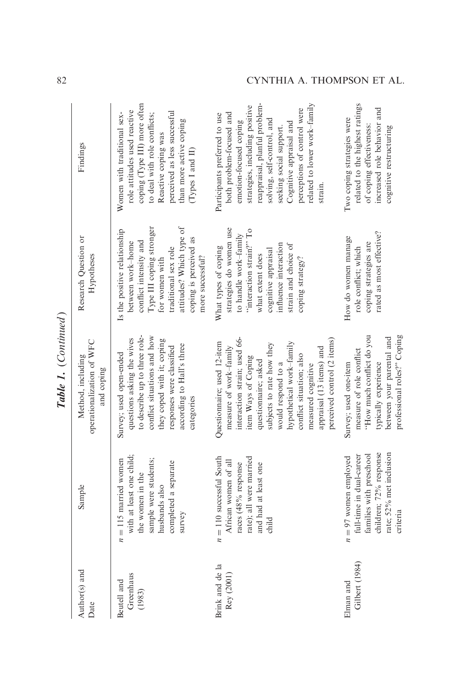| Author(s) and<br>Date              | Sample                                                                                                                                              | operationalization of WFC<br>Method, including<br>and coping                                                                                                                                                                                                                                                                     | Research Question or<br>Hypotheses                                                                                                                                                                                          | Findings                                                                                                                                                                                                                                                                                                             |
|------------------------------------|-----------------------------------------------------------------------------------------------------------------------------------------------------|----------------------------------------------------------------------------------------------------------------------------------------------------------------------------------------------------------------------------------------------------------------------------------------------------------------------------------|-----------------------------------------------------------------------------------------------------------------------------------------------------------------------------------------------------------------------------|----------------------------------------------------------------------------------------------------------------------------------------------------------------------------------------------------------------------------------------------------------------------------------------------------------------------|
| Greenhaus<br>Beutell and<br>(1983) | with at least one child;<br>$n = 115$ married women<br>sample were students;<br>completed a separate<br>the women in the<br>husbands also<br>survey | to describe up to three role-<br>conflict situations and how<br>questions asking the wives<br>they coped with it; coping<br>according to Hall's three<br>responses were classified<br>Survey; used open-ended<br>categories                                                                                                      | attitudes? Which type of<br>Type III coping stronger<br>Is the positive relationship<br>coping is perceived as<br>conflict intensity and<br>between work-home<br>traditional sex role<br>more successful?<br>for women with | coping (Type III) more often<br>role attitudes used reactive<br>perceived as less successful<br>Women with traditional sex-<br>to deal with role conflicts;<br>than more active coping<br>Reactive coping was<br>(Types I and II)                                                                                    |
| Brink and de la<br>Rey (2001)      | $n = 110$ successful South<br>rate); all were married<br>African women of all<br>races (48% response<br>and had at least one<br>child               | interaction strain; used 66-<br>perceived control (2 items)<br>Questionnaire; used 12-item<br>hypothetical work-family<br>subjects to rate how they<br>measure of work-family<br>appraisal (13 items) and<br>conflict situation; also<br>item Ways of Coping<br>questionnaire; asked<br>would respond to a<br>measured cognitive | strategies do women use<br>"interaction strain?" To<br>to handle work-family<br>influence interaction<br>strain and choice of<br>What types of coping<br>cognitive appraisal<br>what extent does<br>coping strategy?        | reappraisal, planful problem-<br>related to lower work-family<br>strategies, including positive<br>perceptions of control were<br>both problem-focused and<br>Participants preferred to use<br>solving, self-control, and<br>emotion-focused coping<br>Cognitive appraisal and<br>seeking social support.<br>strain. |
| Gilbert (1984)<br>Elman and        | rate; 52% met inclusion<br>children; 72% response<br>families with preschool<br>full-time in dual-career<br>$n = 97$ women employed<br>criteria     | "How much conflict do you<br>professional roles?" Coping<br>between your parental and<br>measure of role conflict<br>Survey; used one-item<br>typically experience                                                                                                                                                               | rated as most effective?<br>How do women manage<br>coping strategies are<br>role conflict; which                                                                                                                            | related to the highest ratings<br>increased role behavior and<br>Two coping strategies were<br>of coping effectiveness:<br>cognitive restructuring                                                                                                                                                                   |

Table 1. (Continued) Table 1. (Continued )

## 82 CYNTHIA A. THOMPSON ET AL.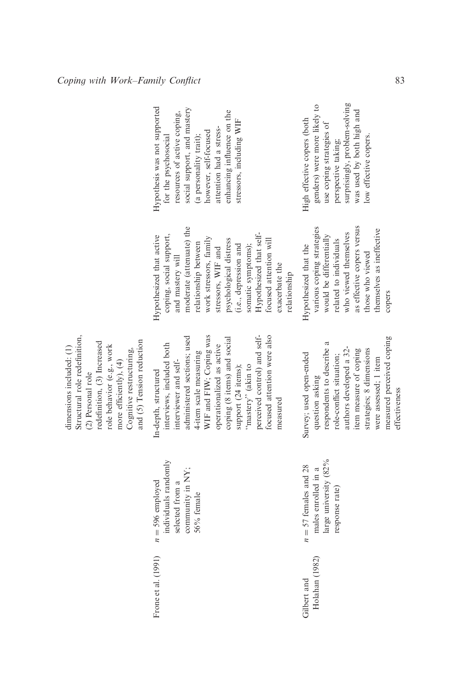| Structural role redefinition,<br>dimensions included: (1) | (2) Personal role | redefinition, (3) Increased | role behavior (e.g., work | more efficiently), (4) | Cognitive restructuring, | and (5) Tension reduction |
|-----------------------------------------------------------|-------------------|-----------------------------|---------------------------|------------------------|--------------------------|---------------------------|
|-----------------------------------------------------------|-------------------|-----------------------------|---------------------------|------------------------|--------------------------|---------------------------|

individuals randomly individuals randomly  $n = 596$  employed Frone et al. (1991)  $n = 596$  employed Frone et al. (1991)

In-depth, structured

In-depth, structured

Hypothesized that active coping, social support, and mastery will moderate (attenuate) the relationship between work stressors, family stressors, WIF and psychological distress (i.e., depression and somatic symptoms); Hypothesized that selffocused attention will

Hypothesized that active coping, social support, moderate (attenuate) the

and mastery will

work stressors, family psychological distress

stressors, WIF and

relationship between

community in NY; community in NY; selected from a selected from a 56% female 56% female

large university (82% large university (82%  $n = 57$  females and 28  $n = 57$  females and 28 males enrolled in a males enrolled in a response rate) response rate) Holahan (1982) Holahan (1982)

question asking respondents to describe a role-conflict situation; authors developed a 32 item measure of coping strategies; 8 dimensions were assessed; 1 item measured perceived coping

respondents to describe a

role-conflict situation;

Gilbert and

Gilbert and

WIF and FIW; Coping was perceived control) and selffocused attention were also administered sections; used administered sections; used WIF and FIW; Coping was coping (8 items) and social perceived control) and selffocused attention were also coping (8 items) and social interviews, included both operationalized as active interviews, included both operationalized as active 4-item scale measuring 4-item scale measuring Survey; used open-ended Survey; used open-ended interviewer and selfinterviewer and selfsupport (24 items); "mastery" (akin to ''mastery'' (akin to support (24 items); question asking measured measured

(i.e., depression and somatic symptoms); Hypothesized that self-

focused attention will

- as effective copers versus various coping strategies as effective copers versus themselves as ineffective various coping strategies themselves as ineffective who viewed themselves would be differentially who viewed themselves would be differentially related to individuals related to individuals Hypothesized that the Hypothesized that the those who viewed those who viewed exacerbate the exacerbate the relationship relationship copers
- Hypothesis was not supported Hypothesis was not supported social support, and mastery social support, and mastery enhancing influence on the resources of active coping, enhancing influence on the resources of active coping, stressors, including WIF stressors, including WIF attention had a stressattention had a stresshowever, self-focused however, self-focused for the psychosocial (a personality trait); for the psychosocial (a personality trait);
- genders) were more likely to surprisingly, problem-solving surprisingly, problem-solving genders) were more likely to was used by both high and was used by both high and High effective copers (both High effective copers (both use coping strategies of use coping strategies of ow effective copers. low effective copers. perspective taking; perspective taking;

effectiveness

effectiveness

measured perceived coping

strategies; 8 dimensions authors developed a 32item measure of coping

were assessed; 1 item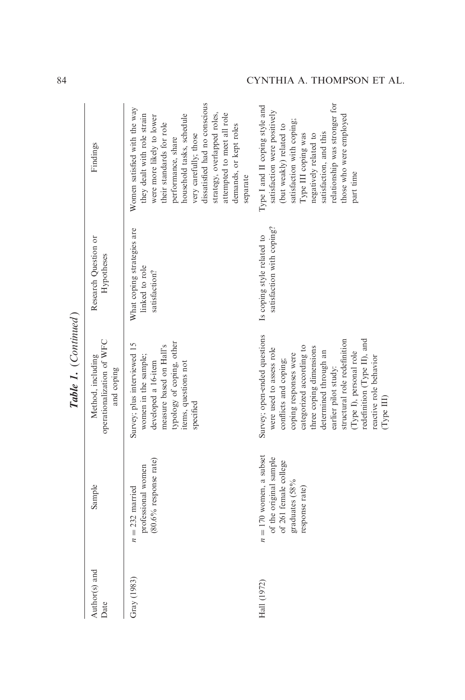## 84 CYNTHIA A. THOMPSON ET AL.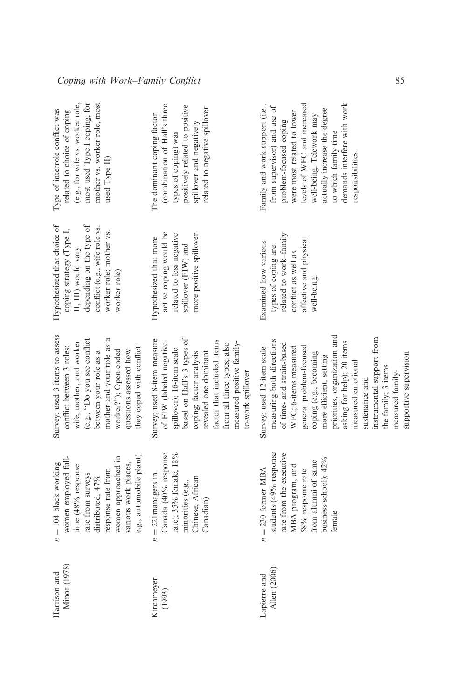| most used Type I coping; for<br>(e.g., for wife vs. worker role,<br>mother vs. worker role, most<br>Type of interrole conflict was<br>related to choice of coping<br>used Type II)                                                                           | (combination of Hall's three<br>positively related to positive<br>related to negative spillover<br>The dominant coping factor<br>spillover and negatively<br>types of coping) was                                                                                                    | demands interfere with work<br>levels of WFC and increased<br>Family and work support (i.e.,<br>from supervisor) and use of<br>actually increase the degree<br>were most related to lower<br>well-being. Telework may<br>problem-focused coping<br>to which family time<br>responsibilities.                                                                                                          |
|--------------------------------------------------------------------------------------------------------------------------------------------------------------------------------------------------------------------------------------------------------------|--------------------------------------------------------------------------------------------------------------------------------------------------------------------------------------------------------------------------------------------------------------------------------------|-------------------------------------------------------------------------------------------------------------------------------------------------------------------------------------------------------------------------------------------------------------------------------------------------------------------------------------------------------------------------------------------------------|
| Hypothesized that choice of<br>depending on the type of<br>conflict (e.g., wife role vs.<br>coping strategy (Type I,<br>worker role; mother vs.<br>II, III) would vary<br>worker role)                                                                       | active coping would be<br>related to less negative<br>more positive spillover<br>Hypothesized that more<br>spillover (FIW) and                                                                                                                                                       | types of coping are<br>related to work-family<br>affective and physical<br>Examined how various<br>conflict as well as<br>well-being.                                                                                                                                                                                                                                                                 |
| Survey; used 3 items to assess<br>mother and your role as a<br>(e.g., "Do you see conflict<br>wife, mother, and worker<br>conflict between 3 roles:<br>they coped with conflict<br>worker?"); Open-ended<br>questions assessed how<br>between your role as a | Survey; used 8-item measure<br>based on Hall's 3 types of<br>factor that included items<br>measured positive family-<br>of FIW (labeled negative<br>from all three types; also<br>spillover); 16-item scale<br>revealed one dominant<br>coping; factor analysis<br>to-work spillover | priorities, organization and<br>instrumental support from<br>measuring both directions<br>asking for help); 20 items<br>of time- and strain-based<br>general problem-focused<br>Survey; used 12-item scale<br>WFC; 6-items measured<br>coping (e.g., becoming<br>supportive supervision<br>more efficient, setting<br>measured emotional<br>the family; 3 items<br>measured family-<br>sustenance and |
| e.g., automobile plant)<br>women employed full-<br>women approached in<br>various work places,<br>$n = 104$ black working<br>time (48% response<br>response rate from<br>rate from surveys<br>distributed, 47%                                               | Canada (40% response<br>rate); 35% female; 18%<br>$= 221$ managers in<br>Chinese, African<br>minorities (e.g.,<br>Canadian)<br>$\overline{\phantom{a}}$                                                                                                                              | students (49% response<br>rate from the executive<br>business school); 42%<br>from alumni of same<br>MBA program, and<br>$n = 230$ former MBA<br>58% response rate<br>female                                                                                                                                                                                                                          |
| Minor (1978)<br>Harrison and                                                                                                                                                                                                                                 | Kirchmeyer<br>(1993)                                                                                                                                                                                                                                                                 | Allen (2006)<br>Lapierre and                                                                                                                                                                                                                                                                                                                                                                          |

## Coping with Work–Family Conflict 85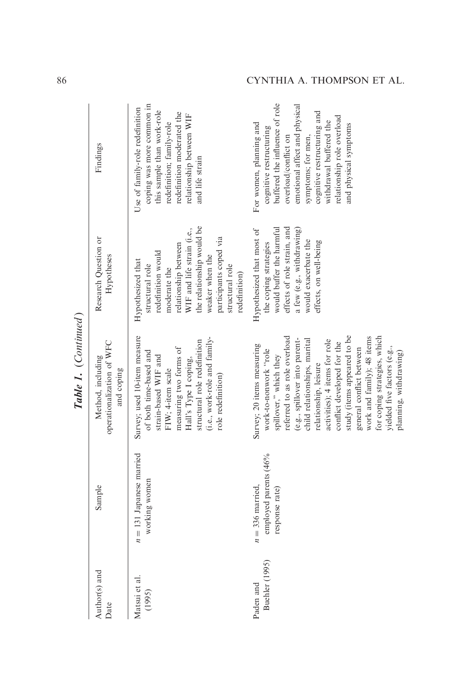| Author(s) and<br>Date       | Sample                                                        | operationalization of WFC<br>Method, including<br>and coping                                                                                                                                                                                                                                                                                                                                                                                             | Research Question or<br>Hypotheses                                                                                                                                                                                                             | Findings                                                                                                                                                                                                                                                                             |
|-----------------------------|---------------------------------------------------------------|----------------------------------------------------------------------------------------------------------------------------------------------------------------------------------------------------------------------------------------------------------------------------------------------------------------------------------------------------------------------------------------------------------------------------------------------------------|------------------------------------------------------------------------------------------------------------------------------------------------------------------------------------------------------------------------------------------------|--------------------------------------------------------------------------------------------------------------------------------------------------------------------------------------------------------------------------------------------------------------------------------------|
| Matsui et al.<br>(1995)     | $n = 131$ Japanese married<br>working women                   | Survey; used 10-item measure<br>(i.e., work-role and family-<br>structural role redefinition<br>measuring two forms of<br>of both time-based and<br>strain-based WIF and<br>Hall's Type I coping,<br>FIW; 4-item scale<br>role redefinition)                                                                                                                                                                                                             | the relationship would be<br>WIF and life strain (i.e.,<br>participants coped via<br>relationship between<br>redefinition would<br>weaker when the<br>Hypothesized that<br>structural role<br>structural role<br>moderate the<br>redefinition) | coping was more common in<br>Use of family-role redefinition<br>this sample than work-role<br>redefinition moderated the<br>elationship between WIF<br>redefinition; family-role<br>and life strain                                                                                  |
| Buehler (1995)<br>Paden and | employed parents (46%<br>$n = 336$ married,<br>response rate) | referred to as role overload<br>study (items appeared to be<br>work and family); 48 items<br>for coping strategies, which<br>child relationships, marital<br>(e.g., spillover into parent-<br>activities); 4 items for role<br>conflict developed for the<br>Survey; 20 items measuring<br>yielded five factors (e.g.,<br>general conflict between<br>alor, xuoxuou-ou-xuow<br>planning, withdrawing)<br>spillover," which they<br>relationship, leisure | would buffer the harmful<br>effects of role strain, and<br>a few (e.g., withdrawing)<br>Hypothesized that most of<br>would exacerbate the<br>effects, on well-being<br>the coping strategies                                                   | buffered the influence of role<br>emotional affect and physical<br>cognitive restructuring and<br>relationship role overload<br>withdrawal buffered the<br>For women, planning and<br>and physical symptoms<br>cognitive restructuring<br>overload/conflict on<br>symptoms; for men, |

**Table 1.** (Continued) Table 1. (Continued )

## 86 CYNTHIA A. THOMPSON ET AL.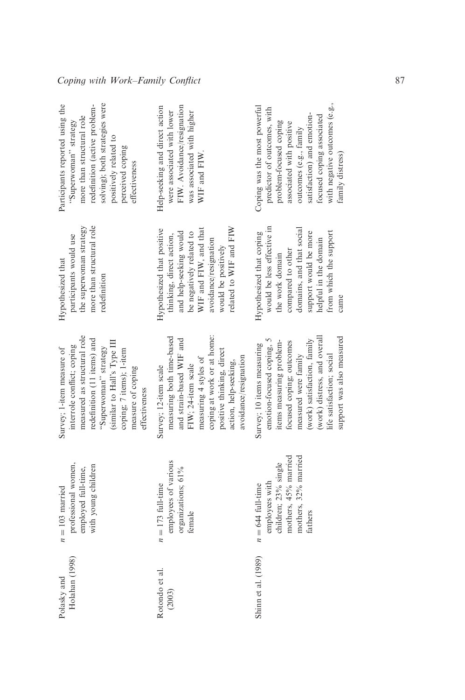| Holahan (1998)<br>Polasky and | professional women,<br>with young children<br>employed full-time,<br>$n = 103$ married | measured as structural role<br>redefinition (11 items) and<br>(similar to Hall's Type III<br>interrole conflict; coping<br>"Superwoman" strategy<br>Survey; 1-item measure of            | more than structural role<br>the superwoman strategy<br>participants would use<br>Hypothesized that<br>redefinition                                                                   | Participants reported using the<br>redefinition (active problem-<br>solving); both strategies were<br>more than structural role<br>"Superwoman" strategy<br>positively related to |
|-------------------------------|----------------------------------------------------------------------------------------|------------------------------------------------------------------------------------------------------------------------------------------------------------------------------------------|---------------------------------------------------------------------------------------------------------------------------------------------------------------------------------------|-----------------------------------------------------------------------------------------------------------------------------------------------------------------------------------|
|                               |                                                                                        | coping; 7 items); 1-item<br>measure of coping<br>effectiveness                                                                                                                           |                                                                                                                                                                                       | perceived coping<br>effectiveness                                                                                                                                                 |
| Rotondo et al.<br>(2003)      | employees of various<br>organizations; 61%<br>$n = 173$ full-time<br>female            | coping at work or at home:<br>measuring both time-based<br>and strain-based WIF and<br>positive thinking, direct<br>measuring 4 styles of<br>FIW; 24-item scale<br>Survey; 12-item scale | Hypothesized that positive<br>WIF and FIW, and that<br>and help-seeking would<br>be negatively related to<br>thinking, direct action,<br>avoidance/resignation<br>would be positively | Help-seeking and direct action<br>FIW. Avoidance/resignation<br>were associated with lower<br>was associated with higher<br>WIF and FIW.                                          |
|                               |                                                                                        | avoidance/resignation<br>action, help-seeking,                                                                                                                                           | related to WIF and FIW                                                                                                                                                                |                                                                                                                                                                                   |
| Shinn et al. (1989)           | children; 23% single<br>employees with<br>$n = 644$ full-time                          | emotion-focused coping, 5<br>items measuring problem-<br>Survey; 10 items measuring                                                                                                      | would be less effective in<br>Hypothesized that coping<br>the work domain                                                                                                             | Coping was the most powerful<br>predictor of outcomes, with<br>problem-focused coping                                                                                             |
|                               | mothers, 32% married<br>mothers, 45% married<br>fathers                                | support was also measured<br>(work) distress, and overall<br>(work) satisfaction, family<br>focused coping; outcomes<br>life satisfaction; social<br>measured were family                | domains, and that social<br>support would be more<br>from which the support<br>helpful in the domain<br>compared to other<br>came                                                     | with negative outcomes (e.g.,<br>satisfaction) and emotion-<br>focused coping associated<br>associated with positive<br>outcomes (e.g., family<br>family distress)                |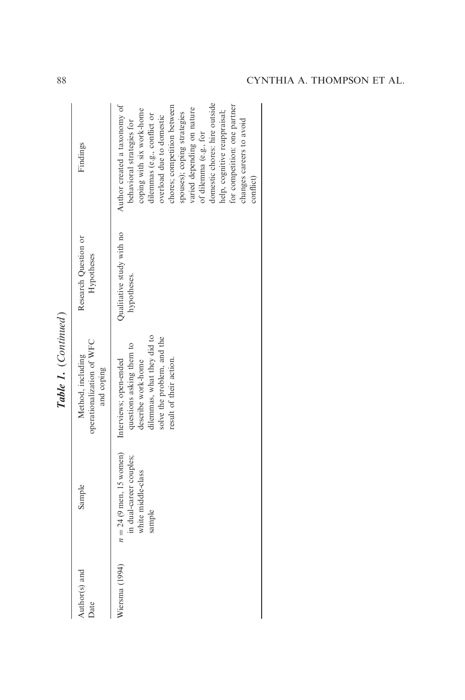|                       |                                                                                                              | Table 1. (Continued)                                                                                                                  |                                          |                                                                                                                                                                                                                                                                                                                                                                                                                  |
|-----------------------|--------------------------------------------------------------------------------------------------------------|---------------------------------------------------------------------------------------------------------------------------------------|------------------------------------------|------------------------------------------------------------------------------------------------------------------------------------------------------------------------------------------------------------------------------------------------------------------------------------------------------------------------------------------------------------------------------------------------------------------|
| Author(s) and<br>Date | Sample                                                                                                       | operationalization of WFC<br>Method, including<br>and coping                                                                          | Research Question or<br>Hypotheses       | Findings                                                                                                                                                                                                                                                                                                                                                                                                         |
| Wiersma (1994)        | $n = 24$ (9 men, 15 women) Interviews; open-ended<br>in dual-career couples;<br>white middle-class<br>sample | dilemmas, what they did to<br>solve the problem, and the<br>questions asking them to<br>result of their action.<br>describe work-home | Qualitative study with no<br>hypotheses. | domestic chores: hire outside<br>Author created a taxonomy of<br>for competition: one partner<br>chores; competition between<br>varied depending on nature<br>help, cognitive reappraisal;<br>coping with six work-home<br>spouses); coping strategies<br>dilemmas (e.g., conflict or<br>overload due to domestic<br>changes careers to avoid<br>behavioral strategies for<br>of dilemma (e.g., for<br>conflict) |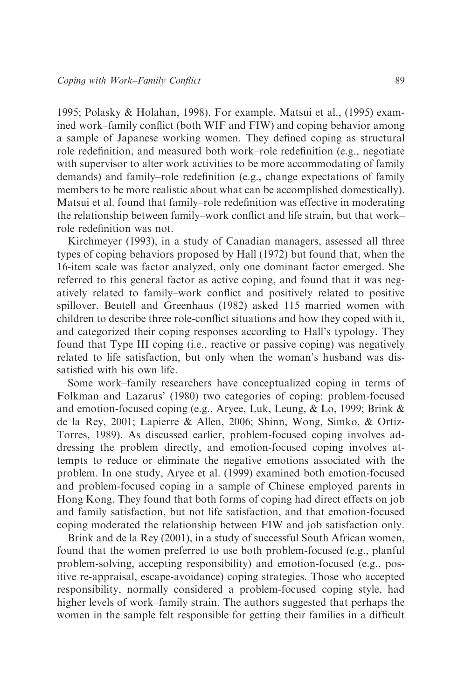1995; Polasky & Holahan, 1998). For example, Matsui et al., (1995) examined work–family conflict (both WIF and FIW) and coping behavior among a sample of Japanese working women. They defined coping as structural role redefinition, and measured both work–role redefinition (e.g., negotiate with supervisor to alter work activities to be more accommodating of family demands) and family–role redefinition (e.g., change expectations of family members to be more realistic about what can be accomplished domestically). Matsui et al. found that family–role redefinition was effective in moderating the relationship between family–work conflict and life strain, but that work– role redefinition was not.

Kirchmeyer (1993), in a study of Canadian managers, assessed all three types of coping behaviors proposed by Hall (1972) but found that, when the 16-item scale was factor analyzed, only one dominant factor emerged. She referred to this general factor as active coping, and found that it was negatively related to family–work conflict and positively related to positive spillover. Beutell and Greenhaus (1982) asked 115 married women with children to describe three role-conflict situations and how they coped with it, and categorized their coping responses according to Hall's typology. They found that Type III coping (i.e., reactive or passive coping) was negatively related to life satisfaction, but only when the woman's husband was dissatisfied with his own life.

Some work–family researchers have conceptualized coping in terms of Folkman and Lazarus' (1980) two categories of coping: problem-focused and emotion-focused coping (e.g., Aryee, Luk, Leung, & Lo, 1999; Brink & de la Rey, 2001; Lapierre & Allen, 2006; Shinn, Wong, Simko, & Ortiz-Torres, 1989). As discussed earlier, problem-focused coping involves addressing the problem directly, and emotion-focused coping involves attempts to reduce or eliminate the negative emotions associated with the problem. In one study, Aryee et al. (1999) examined both emotion-focused and problem-focused coping in a sample of Chinese employed parents in Hong Kong. They found that both forms of coping had direct effects on job and family satisfaction, but not life satisfaction, and that emotion-focused coping moderated the relationship between FIW and job satisfaction only.

Brink and de la Rey (2001), in a study of successful South African women, found that the women preferred to use both problem-focused (e.g., planful problem-solving, accepting responsibility) and emotion-focused (e.g., positive re-appraisal, escape-avoidance) coping strategies. Those who accepted responsibility, normally considered a problem-focused coping style, had higher levels of work–family strain. The authors suggested that perhaps the women in the sample felt responsible for getting their families in a difficult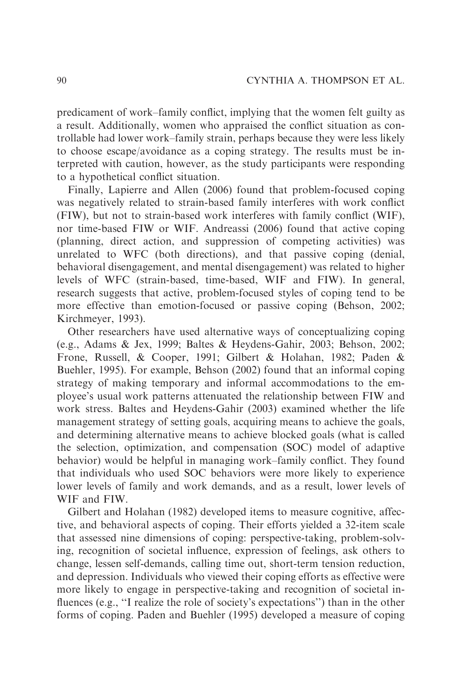predicament of work–family conflict, implying that the women felt guilty as a result. Additionally, women who appraised the conflict situation as controllable had lower work–family strain, perhaps because they were less likely to choose escape/avoidance as a coping strategy. The results must be interpreted with caution, however, as the study participants were responding to a hypothetical conflict situation.

Finally, Lapierre and Allen (2006) found that problem-focused coping was negatively related to strain-based family interferes with work conflict (FIW), but not to strain-based work interferes with family conflict (WIF), nor time-based FIW or WIF. Andreassi (2006) found that active coping (planning, direct action, and suppression of competing activities) was unrelated to WFC (both directions), and that passive coping (denial, behavioral disengagement, and mental disengagement) was related to higher levels of WFC (strain-based, time-based, WIF and FIW). In general, research suggests that active, problem-focused styles of coping tend to be more effective than emotion-focused or passive coping (Behson, 2002; Kirchmeyer, 1993).

Other researchers have used alternative ways of conceptualizing coping (e.g., Adams & Jex, 1999; Baltes & Heydens-Gahir, 2003; Behson, 2002; Frone, Russell, & Cooper, 1991; Gilbert & Holahan, 1982; Paden & Buehler, 1995). For example, Behson (2002) found that an informal coping strategy of making temporary and informal accommodations to the employee's usual work patterns attenuated the relationship between FIW and work stress. Baltes and Heydens-Gahir (2003) examined whether the life management strategy of setting goals, acquiring means to achieve the goals, and determining alternative means to achieve blocked goals (what is called the selection, optimization, and compensation (SOC) model of adaptive behavior) would be helpful in managing work–family conflict. They found that individuals who used SOC behaviors were more likely to experience lower levels of family and work demands, and as a result, lower levels of WIF and FIW.

Gilbert and Holahan (1982) developed items to measure cognitive, affective, and behavioral aspects of coping. Their efforts yielded a 32-item scale that assessed nine dimensions of coping: perspective-taking, problem-solving, recognition of societal influence, expression of feelings, ask others to change, lessen self-demands, calling time out, short-term tension reduction, and depression. Individuals who viewed their coping efforts as effective were more likely to engage in perspective-taking and recognition of societal influences (e.g., ''I realize the role of society's expectations'') than in the other forms of coping. Paden and Buehler (1995) developed a measure of coping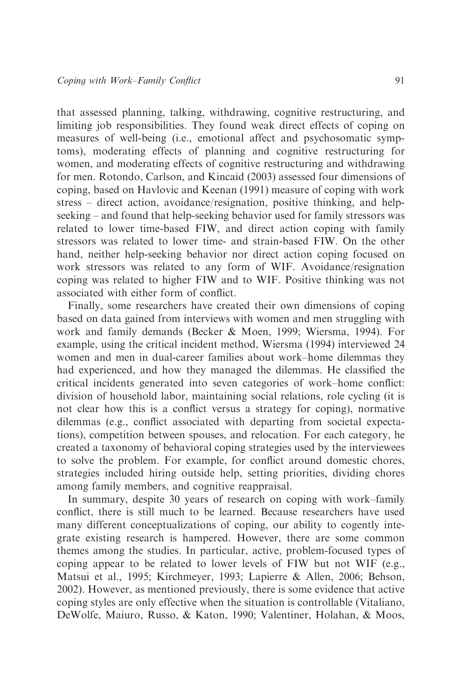that assessed planning, talking, withdrawing, cognitive restructuring, and limiting job responsibilities. They found weak direct effects of coping on measures of well-being (i.e., emotional affect and psychosomatic symptoms), moderating effects of planning and cognitive restructuring for women, and moderating effects of cognitive restructuring and withdrawing for men. Rotondo, Carlson, and Kincaid (2003) assessed four dimensions of coping, based on Havlovic and Keenan (1991) measure of coping with work stress – direct action, avoidance/resignation, positive thinking, and helpseeking – and found that help-seeking behavior used for family stressors was related to lower time-based FIW, and direct action coping with family stressors was related to lower time- and strain-based FIW. On the other hand, neither help-seeking behavior nor direct action coping focused on work stressors was related to any form of WIF. Avoidance/resignation coping was related to higher FIW and to WIF. Positive thinking was not associated with either form of conflict.

Finally, some researchers have created their own dimensions of coping based on data gained from interviews with women and men struggling with work and family demands (Becker & Moen, 1999; Wiersma, 1994). For example, using the critical incident method, Wiersma (1994) interviewed 24 women and men in dual-career families about work–home dilemmas they had experienced, and how they managed the dilemmas. He classified the critical incidents generated into seven categories of work–home conflict: division of household labor, maintaining social relations, role cycling (it is not clear how this is a conflict versus a strategy for coping), normative dilemmas (e.g., conflict associated with departing from societal expectations), competition between spouses, and relocation. For each category, he created a taxonomy of behavioral coping strategies used by the interviewees to solve the problem. For example, for conflict around domestic chores, strategies included hiring outside help, setting priorities, dividing chores among family members, and cognitive reappraisal.

In summary, despite 30 years of research on coping with work–family conflict, there is still much to be learned. Because researchers have used many different conceptualizations of coping, our ability to cogently integrate existing research is hampered. However, there are some common themes among the studies. In particular, active, problem-focused types of coping appear to be related to lower levels of FIW but not WIF (e.g., Matsui et al., 1995; Kirchmeyer, 1993; Lapierre & Allen, 2006; Behson, 2002). However, as mentioned previously, there is some evidence that active coping styles are only effective when the situation is controllable (Vitaliano, DeWolfe, Maiuro, Russo, & Katon, 1990; Valentiner, Holahan, & Moos,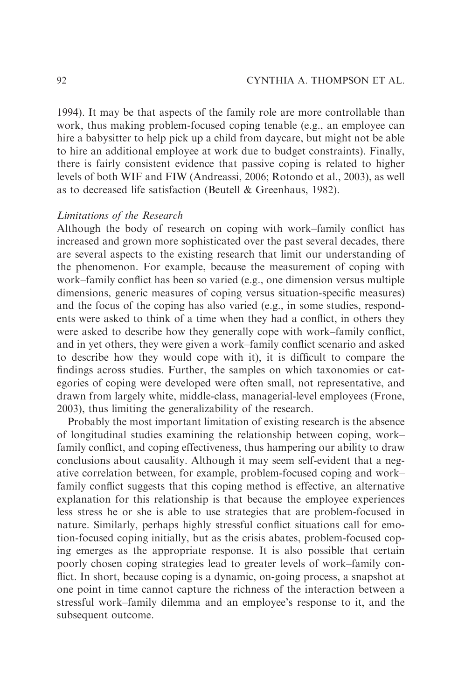1994). It may be that aspects of the family role are more controllable than work, thus making problem-focused coping tenable (e.g., an employee can hire a babysitter to help pick up a child from daycare, but might not be able to hire an additional employee at work due to budget constraints). Finally, there is fairly consistent evidence that passive coping is related to higher levels of both WIF and FIW (Andreassi, 2006; Rotondo et al., 2003), as well as to decreased life satisfaction (Beutell & Greenhaus, 1982).

#### Limitations of the Research

Although the body of research on coping with work–family conflict has increased and grown more sophisticated over the past several decades, there are several aspects to the existing research that limit our understanding of the phenomenon. For example, because the measurement of coping with work–family conflict has been so varied (e.g., one dimension versus multiple dimensions, generic measures of coping versus situation-specific measures) and the focus of the coping has also varied (e.g., in some studies, respondents were asked to think of a time when they had a conflict, in others they were asked to describe how they generally cope with work–family conflict, and in yet others, they were given a work–family conflict scenario and asked to describe how they would cope with it), it is difficult to compare the findings across studies. Further, the samples on which taxonomies or categories of coping were developed were often small, not representative, and drawn from largely white, middle-class, managerial-level employees (Frone, 2003), thus limiting the generalizability of the research.

Probably the most important limitation of existing research is the absence of longitudinal studies examining the relationship between coping, work– family conflict, and coping effectiveness, thus hampering our ability to draw conclusions about causality. Although it may seem self-evident that a negative correlation between, for example, problem-focused coping and work– family conflict suggests that this coping method is effective, an alternative explanation for this relationship is that because the employee experiences less stress he or she is able to use strategies that are problem-focused in nature. Similarly, perhaps highly stressful conflict situations call for emotion-focused coping initially, but as the crisis abates, problem-focused coping emerges as the appropriate response. It is also possible that certain poorly chosen coping strategies lead to greater levels of work–family conflict. In short, because coping is a dynamic, on-going process, a snapshot at one point in time cannot capture the richness of the interaction between a stressful work–family dilemma and an employee's response to it, and the subsequent outcome.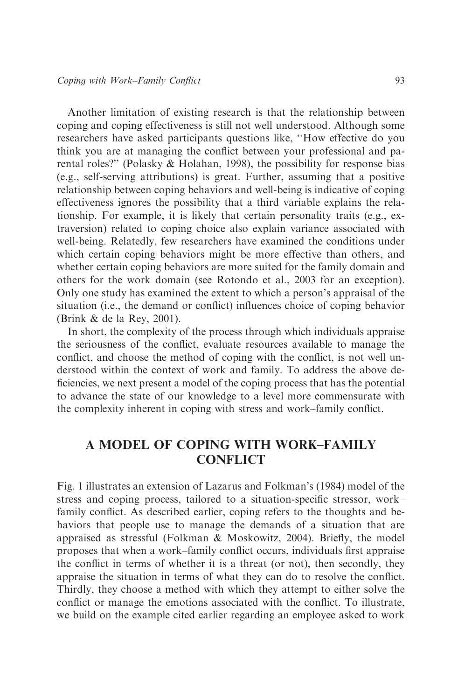Another limitation of existing research is that the relationship between coping and coping effectiveness is still not well understood. Although some researchers have asked participants questions like, ''How effective do you think you are at managing the conflict between your professional and parental roles?'' (Polasky & Holahan, 1998), the possibility for response bias (e.g., self-serving attributions) is great. Further, assuming that a positive relationship between coping behaviors and well-being is indicative of coping effectiveness ignores the possibility that a third variable explains the relationship. For example, it is likely that certain personality traits (e.g., extraversion) related to coping choice also explain variance associated with well-being. Relatedly, few researchers have examined the conditions under which certain coping behaviors might be more effective than others, and whether certain coping behaviors are more suited for the family domain and others for the work domain (see Rotondo et al., 2003 for an exception). Only one study has examined the extent to which a person's appraisal of the situation (i.e., the demand or conflict) influences choice of coping behavior (Brink & de la Rey, 2001).

In short, the complexity of the process through which individuals appraise the seriousness of the conflict, evaluate resources available to manage the conflict, and choose the method of coping with the conflict, is not well understood within the context of work and family. To address the above deficiencies, we next present a model of the coping process that has the potential to advance the state of our knowledge to a level more commensurate with the complexity inherent in coping with stress and work–family conflict.

## A MODEL OF COPING WITH WORK–FAMILY **CONFLICT**

Fig. 1 illustrates an extension of Lazarus and Folkman's (1984) model of the stress and coping process, tailored to a situation-specific stressor, work– family conflict. As described earlier, coping refers to the thoughts and behaviors that people use to manage the demands of a situation that are appraised as stressful (Folkman & Moskowitz, 2004). Briefly, the model proposes that when a work–family conflict occurs, individuals first appraise the conflict in terms of whether it is a threat (or not), then secondly, they appraise the situation in terms of what they can do to resolve the conflict. Thirdly, they choose a method with which they attempt to either solve the conflict or manage the emotions associated with the conflict. To illustrate, we build on the example cited earlier regarding an employee asked to work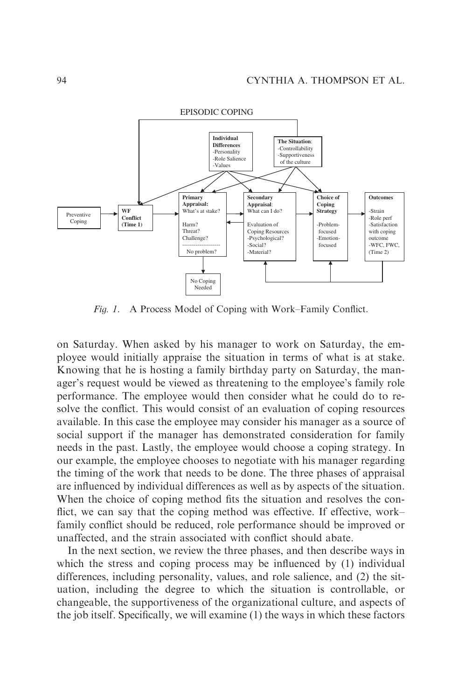

Fig. 1. A Process Model of Coping with Work–Family Conflict.

on Saturday. When asked by his manager to work on Saturday, the employee would initially appraise the situation in terms of what is at stake. Knowing that he is hosting a family birthday party on Saturday, the manager's request would be viewed as threatening to the employee's family role performance. The employee would then consider what he could do to resolve the conflict. This would consist of an evaluation of coping resources available. In this case the employee may consider his manager as a source of social support if the manager has demonstrated consideration for family needs in the past. Lastly, the employee would choose a coping strategy. In our example, the employee chooses to negotiate with his manager regarding the timing of the work that needs to be done. The three phases of appraisal are influenced by individual differences as well as by aspects of the situation. When the choice of coping method fits the situation and resolves the conflict, we can say that the coping method was effective. If effective, work– family conflict should be reduced, role performance should be improved or unaffected, and the strain associated with conflict should abate.

In the next section, we review the three phases, and then describe ways in which the stress and coping process may be influenced by (1) individual differences, including personality, values, and role salience, and (2) the situation, including the degree to which the situation is controllable, or changeable, the supportiveness of the organizational culture, and aspects of the job itself. Specifically, we will examine (1) the ways in which these factors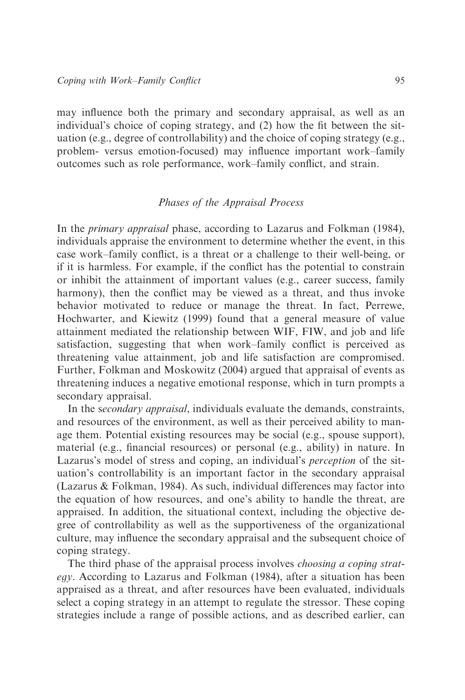may influence both the primary and secondary appraisal, as well as an individual's choice of coping strategy, and (2) how the fit between the situation (e.g., degree of controllability) and the choice of coping strategy (e.g., problem- versus emotion-focused) may influence important work–family outcomes such as role performance, work–family conflict, and strain.

## Phases of the Appraisal Process

In the primary appraisal phase, according to Lazarus and Folkman (1984), individuals appraise the environment to determine whether the event, in this case work–family conflict, is a threat or a challenge to their well-being, or if it is harmless. For example, if the conflict has the potential to constrain or inhibit the attainment of important values (e.g., career success, family harmony), then the conflict may be viewed as a threat, and thus invoke behavior motivated to reduce or manage the threat. In fact, Perrewe, Hochwarter, and Kiewitz (1999) found that a general measure of value attainment mediated the relationship between WIF, FIW, and job and life satisfaction, suggesting that when work–family conflict is perceived as threatening value attainment, job and life satisfaction are compromised. Further, Folkman and Moskowitz (2004) argued that appraisal of events as threatening induces a negative emotional response, which in turn prompts a secondary appraisal.

In the secondary appraisal, individuals evaluate the demands, constraints, and resources of the environment, as well as their perceived ability to manage them. Potential existing resources may be social (e.g., spouse support), material (e.g., financial resources) or personal (e.g., ability) in nature. In Lazarus's model of stress and coping, an individual's *perception* of the situation's controllability is an important factor in the secondary appraisal (Lazarus & Folkman, 1984). As such, individual differences may factor into the equation of how resources, and one's ability to handle the threat, are appraised. In addition, the situational context, including the objective degree of controllability as well as the supportiveness of the organizational culture, may influence the secondary appraisal and the subsequent choice of coping strategy.

The third phase of the appraisal process involves *choosing a coping strat*egy. According to Lazarus and Folkman (1984), after a situation has been appraised as a threat, and after resources have been evaluated, individuals select a coping strategy in an attempt to regulate the stressor. These coping strategies include a range of possible actions, and as described earlier, can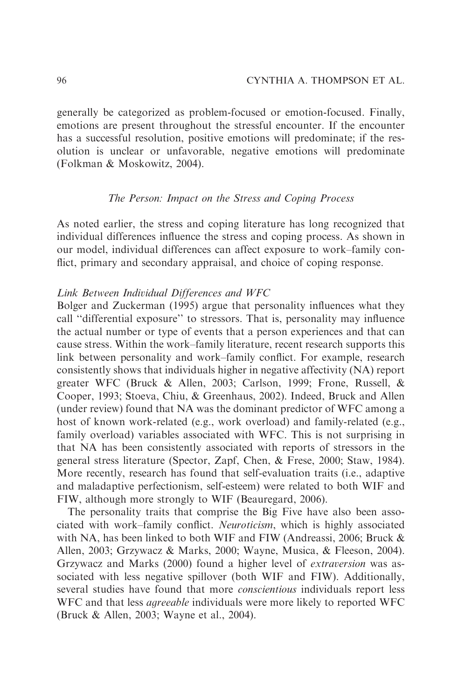generally be categorized as problem-focused or emotion-focused. Finally, emotions are present throughout the stressful encounter. If the encounter has a successful resolution, positive emotions will predominate; if the resolution is unclear or unfavorable, negative emotions will predominate (Folkman & Moskowitz, 2004).

## The Person: Impact on the Stress and Coping Process

As noted earlier, the stress and coping literature has long recognized that individual differences influence the stress and coping process. As shown in our model, individual differences can affect exposure to work–family conflict, primary and secondary appraisal, and choice of coping response.

#### Link Between Individual Differences and WFC

Bolger and Zuckerman (1995) argue that personality influences what they call ''differential exposure'' to stressors. That is, personality may influence the actual number or type of events that a person experiences and that can cause stress. Within the work–family literature, recent research supports this link between personality and work–family conflict. For example, research consistently shows that individuals higher in negative affectivity (NA) report greater WFC (Bruck & Allen, 2003; Carlson, 1999; Frone, Russell, & Cooper, 1993; Stoeva, Chiu, & Greenhaus, 2002). Indeed, Bruck and Allen (under review) found that NA was the dominant predictor of WFC among a host of known work-related (e.g., work overload) and family-related (e.g., family overload) variables associated with WFC. This is not surprising in that NA has been consistently associated with reports of stressors in the general stress literature (Spector, Zapf, Chen, & Frese, 2000; Staw, 1984). More recently, research has found that self-evaluation traits (i.e., adaptive and maladaptive perfectionism, self-esteem) were related to both WIF and FIW, although more strongly to WIF (Beauregard, 2006).

The personality traits that comprise the Big Five have also been associated with work–family conflict. Neuroticism, which is highly associated with NA, has been linked to both WIF and FIW (Andreassi, 2006; Bruck  $\&$ Allen, 2003; Grzywacz & Marks, 2000; Wayne, Musica, & Fleeson, 2004). Grzywacz and Marks (2000) found a higher level of extraversion was associated with less negative spillover (both WIF and FIW). Additionally, several studies have found that more *conscientious* individuals report less WFC and that less *agreeable* individuals were more likely to reported WFC (Bruck & Allen, 2003; Wayne et al., 2004).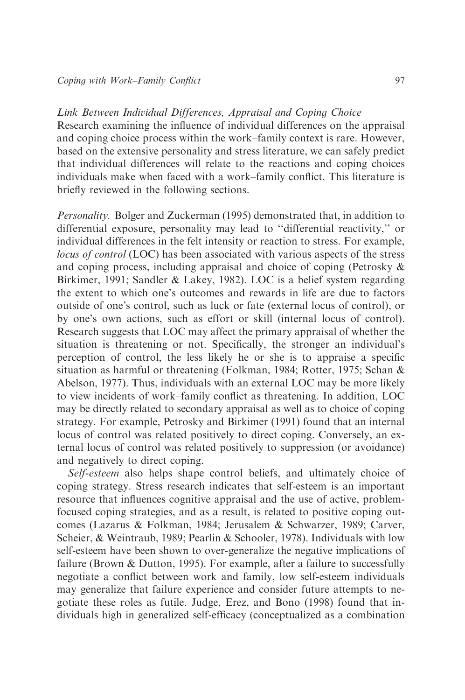## Link Between Individual Differences, Appraisal and Coping Choice

Research examining the influence of individual differences on the appraisal and coping choice process within the work–family context is rare. However, based on the extensive personality and stress literature, we can safely predict that individual differences will relate to the reactions and coping choices individuals make when faced with a work–family conflict. This literature is briefly reviewed in the following sections.

Personality. Bolger and Zuckerman (1995) demonstrated that, in addition to differential exposure, personality may lead to ''differential reactivity,'' or individual differences in the felt intensity or reaction to stress. For example, locus of control (LOC) has been associated with various aspects of the stress and coping process, including appraisal and choice of coping (Petrosky & Birkimer, 1991; Sandler & Lakey, 1982). LOC is a belief system regarding the extent to which one's outcomes and rewards in life are due to factors outside of one's control, such as luck or fate (external locus of control), or by one's own actions, such as effort or skill (internal locus of control). Research suggests that LOC may affect the primary appraisal of whether the situation is threatening or not. Specifically, the stronger an individual's perception of control, the less likely he or she is to appraise a specific situation as harmful or threatening (Folkman, 1984; Rotter, 1975; Schan & Abelson, 1977). Thus, individuals with an external LOC may be more likely to view incidents of work–family conflict as threatening. In addition, LOC may be directly related to secondary appraisal as well as to choice of coping strategy. For example, Petrosky and Birkimer (1991) found that an internal locus of control was related positively to direct coping. Conversely, an external locus of control was related positively to suppression (or avoidance) and negatively to direct coping.

Self-esteem also helps shape control beliefs, and ultimately choice of coping strategy. Stress research indicates that self-esteem is an important resource that influences cognitive appraisal and the use of active, problemfocused coping strategies, and as a result, is related to positive coping outcomes (Lazarus & Folkman, 1984; Jerusalem & Schwarzer, 1989; Carver, Scheier, & Weintraub, 1989; Pearlin & Schooler, 1978). Individuals with low self-esteem have been shown to over-generalize the negative implications of failure (Brown & Dutton, 1995). For example, after a failure to successfully negotiate a conflict between work and family, low self-esteem individuals may generalize that failure experience and consider future attempts to negotiate these roles as futile. Judge, Erez, and Bono (1998) found that individuals high in generalized self-efficacy (conceptualized as a combination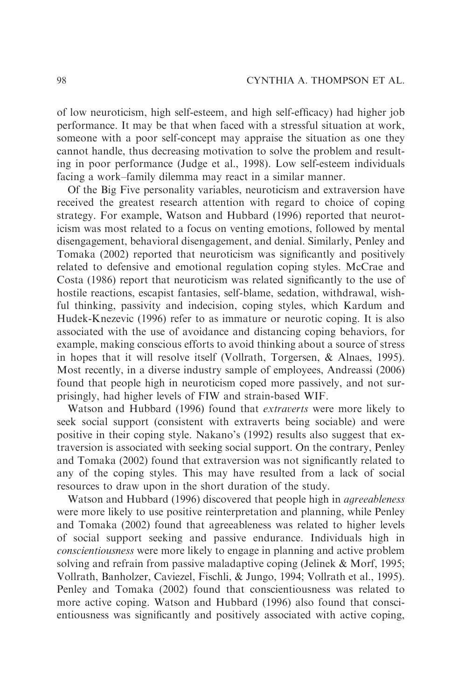of low neuroticism, high self-esteem, and high self-efficacy) had higher job performance. It may be that when faced with a stressful situation at work, someone with a poor self-concept may appraise the situation as one they cannot handle, thus decreasing motivation to solve the problem and resulting in poor performance (Judge et al., 1998). Low self-esteem individuals facing a work–family dilemma may react in a similar manner.

Of the Big Five personality variables, neuroticism and extraversion have received the greatest research attention with regard to choice of coping strategy. For example, Watson and Hubbard (1996) reported that neuroticism was most related to a focus on venting emotions, followed by mental disengagement, behavioral disengagement, and denial. Similarly, Penley and Tomaka (2002) reported that neuroticism was significantly and positively related to defensive and emotional regulation coping styles. McCrae and Costa (1986) report that neuroticism was related significantly to the use of hostile reactions, escapist fantasies, self-blame, sedation, withdrawal, wishful thinking, passivity and indecision, coping styles, which Kardum and Hudek-Knezevic (1996) refer to as immature or neurotic coping. It is also associated with the use of avoidance and distancing coping behaviors, for example, making conscious efforts to avoid thinking about a source of stress in hopes that it will resolve itself (Vollrath, Torgersen, & Alnaes, 1995). Most recently, in a diverse industry sample of employees, Andreassi (2006) found that people high in neuroticism coped more passively, and not surprisingly, had higher levels of FIW and strain-based WIF.

Watson and Hubbard (1996) found that extraverts were more likely to seek social support (consistent with extraverts being sociable) and were positive in their coping style. Nakano's (1992) results also suggest that extraversion is associated with seeking social support. On the contrary, Penley and Tomaka (2002) found that extraversion was not significantly related to any of the coping styles. This may have resulted from a lack of social resources to draw upon in the short duration of the study.

Watson and Hubbard (1996) discovered that people high in agreeableness were more likely to use positive reinterpretation and planning, while Penley and Tomaka (2002) found that agreeableness was related to higher levels of social support seeking and passive endurance. Individuals high in conscientiousness were more likely to engage in planning and active problem solving and refrain from passive maladaptive coping (Jelinek & Morf, 1995; Vollrath, Banholzer, Caviezel, Fischli, & Jungo, 1994; Vollrath et al., 1995). Penley and Tomaka (2002) found that conscientiousness was related to more active coping. Watson and Hubbard (1996) also found that conscientiousness was significantly and positively associated with active coping,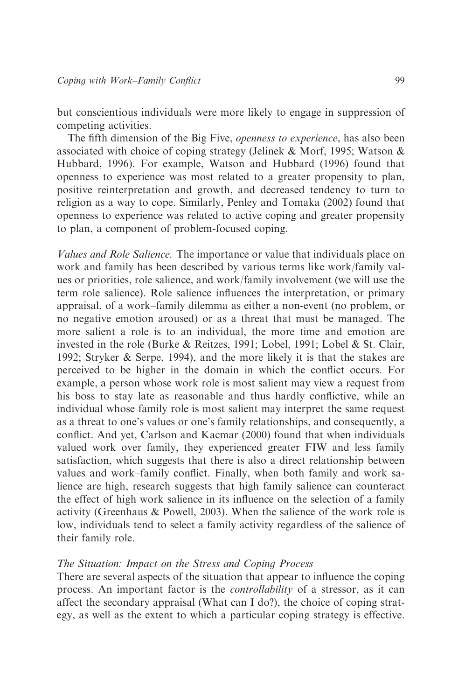but conscientious individuals were more likely to engage in suppression of competing activities.

The fifth dimension of the Big Five, openness to experience, has also been associated with choice of coping strategy (Jelinek & Morf, 1995; Watson & Hubbard, 1996). For example, Watson and Hubbard (1996) found that openness to experience was most related to a greater propensity to plan, positive reinterpretation and growth, and decreased tendency to turn to religion as a way to cope. Similarly, Penley and Tomaka (2002) found that openness to experience was related to active coping and greater propensity to plan, a component of problem-focused coping.

Values and Role Salience. The importance or value that individuals place on work and family has been described by various terms like work/family values or priorities, role salience, and work/family involvement (we will use the term role salience). Role salience influences the interpretation, or primary appraisal, of a work–family dilemma as either a non-event (no problem, or no negative emotion aroused) or as a threat that must be managed. The more salient a role is to an individual, the more time and emotion are invested in the role (Burke & Reitzes, 1991; Lobel, 1991; Lobel & St. Clair, 1992; Stryker & Serpe, 1994), and the more likely it is that the stakes are perceived to be higher in the domain in which the conflict occurs. For example, a person whose work role is most salient may view a request from his boss to stay late as reasonable and thus hardly conflictive, while an individual whose family role is most salient may interpret the same request as a threat to one's values or one's family relationships, and consequently, a conflict. And yet, Carlson and Kacmar (2000) found that when individuals valued work over family, they experienced greater FIW and less family satisfaction, which suggests that there is also a direct relationship between values and work–family conflict. Finally, when both family and work salience are high, research suggests that high family salience can counteract the effect of high work salience in its influence on the selection of a family activity (Greenhaus & Powell, 2003). When the salience of the work role is low, individuals tend to select a family activity regardless of the salience of their family role.

#### The Situation: Impact on the Stress and Coping Process

There are several aspects of the situation that appear to influence the coping process. An important factor is the controllability of a stressor, as it can affect the secondary appraisal (What can I do?), the choice of coping strategy, as well as the extent to which a particular coping strategy is effective.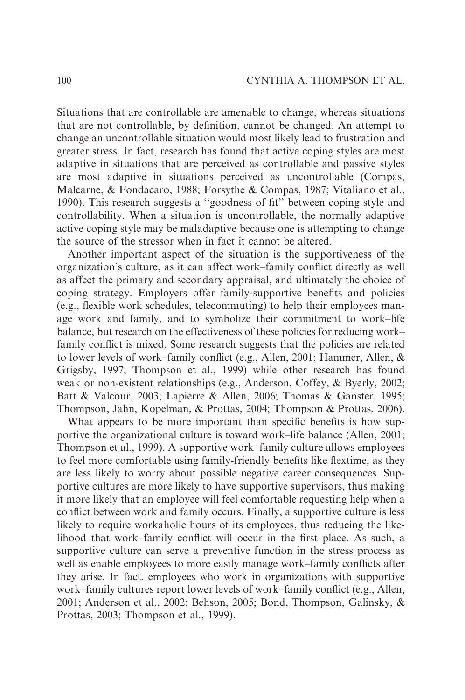Situations that are controllable are amenable to change, whereas situations that are not controllable, by definition, cannot be changed. An attempt to change an uncontrollable situation would most likely lead to frustration and greater stress. In fact, research has found that active coping styles are most adaptive in situations that are perceived as controllable and passive styles are most adaptive in situations perceived as uncontrollable (Compas, Malcarne, & Fondacaro, 1988; Forsythe & Compas, 1987; Vitaliano et al., 1990). This research suggests a ''goodness of fit'' between coping style and controllability. When a situation is uncontrollable, the normally adaptive active coping style may be maladaptive because one is attempting to change the source of the stressor when in fact it cannot be altered.

Another important aspect of the situation is the supportiveness of the organization's culture, as it can affect work–family conflict directly as well as affect the primary and secondary appraisal, and ultimately the choice of coping strategy. Employers offer family-supportive benefits and policies (e.g., flexible work schedules, telecommuting) to help their employees manage work and family, and to symbolize their commitment to work–life balance, but research on the effectiveness of these policies for reducing work– family conflict is mixed. Some research suggests that the policies are related to lower levels of work–family conflict (e.g., Allen, 2001; Hammer, Allen, & Grigsby, 1997; Thompson et al., 1999) while other research has found weak or non-existent relationships (e.g., Anderson, Coffey, & Byerly, 2002; Batt & Valcour, 2003; Lapierre & Allen, 2006; Thomas & Ganster, 1995; Thompson, Jahn, Kopelman, & Prottas, 2004; Thompson & Prottas, 2006).

What appears to be more important than specific benefits is how supportive the organizational culture is toward work–life balance (Allen, 2001; Thompson et al., 1999). A supportive work–family culture allows employees to feel more comfortable using family-friendly benefits like flextime, as they are less likely to worry about possible negative career consequences. Supportive cultures are more likely to have supportive supervisors, thus making it more likely that an employee will feel comfortable requesting help when a conflict between work and family occurs. Finally, a supportive culture is less likely to require workaholic hours of its employees, thus reducing the likelihood that work–family conflict will occur in the first place. As such, a supportive culture can serve a preventive function in the stress process as well as enable employees to more easily manage work–family conflicts after they arise. In fact, employees who work in organizations with supportive work–family cultures report lower levels of work–family conflict (e.g., Allen, 2001; Anderson et al., 2002; Behson, 2005; Bond, Thompson, Galinsky, & Prottas, 2003; Thompson et al., 1999).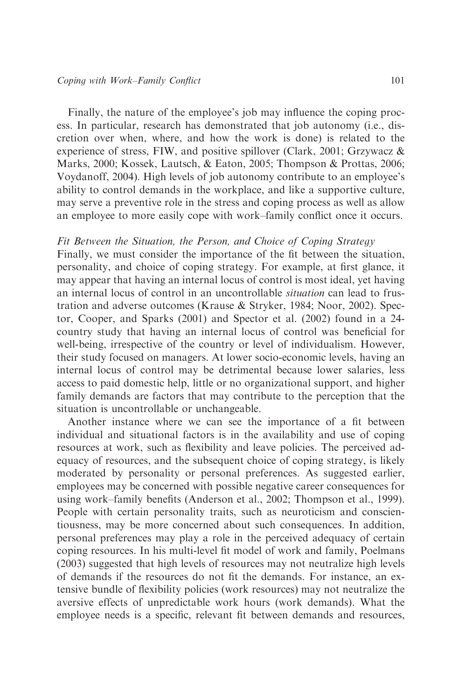Finally, the nature of the employee's job may influence the coping process. In particular, research has demonstrated that job autonomy (i.e., discretion over when, where, and how the work is done) is related to the experience of stress, FIW, and positive spillover (Clark, 2001; Grzywacz & Marks, 2000; Kossek, Lautsch, & Eaton, 2005; Thompson & Prottas, 2006; Voydanoff, 2004). High levels of job autonomy contribute to an employee's ability to control demands in the workplace, and like a supportive culture, may serve a preventive role in the stress and coping process as well as allow an employee to more easily cope with work–family conflict once it occurs.

#### Fit Between the Situation, the Person, and Choice of Coping Strategy

Finally, we must consider the importance of the fit between the situation, personality, and choice of coping strategy. For example, at first glance, it may appear that having an internal locus of control is most ideal, yet having an internal locus of control in an uncontrollable situation can lead to frustration and adverse outcomes (Krause & Stryker, 1984; Noor, 2002). Spector, Cooper, and Sparks (2001) and Spector et al. (2002) found in a 24 country study that having an internal locus of control was beneficial for well-being, irrespective of the country or level of individualism. However, their study focused on managers. At lower socio-economic levels, having an internal locus of control may be detrimental because lower salaries, less access to paid domestic help, little or no organizational support, and higher family demands are factors that may contribute to the perception that the situation is uncontrollable or unchangeable.

Another instance where we can see the importance of a fit between individual and situational factors is in the availability and use of coping resources at work, such as flexibility and leave policies. The perceived adequacy of resources, and the subsequent choice of coping strategy, is likely moderated by personality or personal preferences. As suggested earlier, employees may be concerned with possible negative career consequences for using work–family benefits (Anderson et al., 2002; Thompson et al., 1999). People with certain personality traits, such as neuroticism and conscientiousness, may be more concerned about such consequences. In addition, personal preferences may play a role in the perceived adequacy of certain coping resources. In his multi-level fit model of work and family, Poelmans (2003) suggested that high levels of resources may not neutralize high levels of demands if the resources do not fit the demands. For instance, an extensive bundle of flexibility policies (work resources) may not neutralize the aversive effects of unpredictable work hours (work demands). What the employee needs is a specific, relevant fit between demands and resources,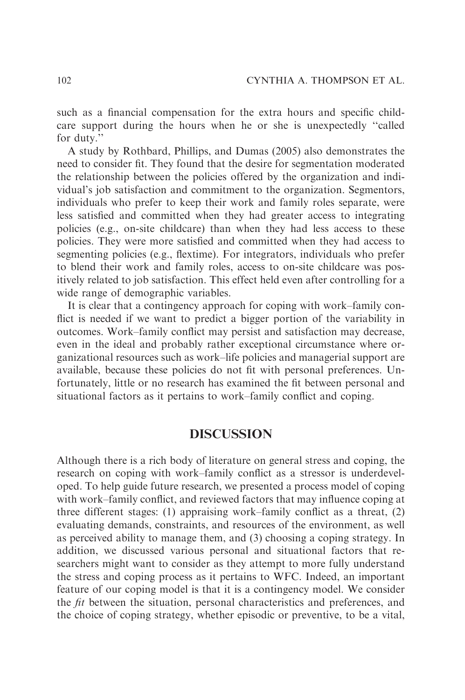such as a financial compensation for the extra hours and specific childcare support during the hours when he or she is unexpectedly ''called for duty.''

A study by Rothbard, Phillips, and Dumas (2005) also demonstrates the need to consider fit. They found that the desire for segmentation moderated the relationship between the policies offered by the organization and individual's job satisfaction and commitment to the organization. Segmentors, individuals who prefer to keep their work and family roles separate, were less satisfied and committed when they had greater access to integrating policies (e.g., on-site childcare) than when they had less access to these policies. They were more satisfied and committed when they had access to segmenting policies (e.g., flextime). For integrators, individuals who prefer to blend their work and family roles, access to on-site childcare was positively related to job satisfaction. This effect held even after controlling for a wide range of demographic variables.

It is clear that a contingency approach for coping with work–family conflict is needed if we want to predict a bigger portion of the variability in outcomes. Work–family conflict may persist and satisfaction may decrease, even in the ideal and probably rather exceptional circumstance where organizational resources such as work–life policies and managerial support are available, because these policies do not fit with personal preferences. Unfortunately, little or no research has examined the fit between personal and situational factors as it pertains to work–family conflict and coping.

## **DISCUSSION**

Although there is a rich body of literature on general stress and coping, the research on coping with work–family conflict as a stressor is underdeveloped. To help guide future research, we presented a process model of coping with work–family conflict, and reviewed factors that may influence coping at three different stages: (1) appraising work–family conflict as a threat, (2) evaluating demands, constraints, and resources of the environment, as well as perceived ability to manage them, and (3) choosing a coping strategy. In addition, we discussed various personal and situational factors that researchers might want to consider as they attempt to more fully understand the stress and coping process as it pertains to WFC. Indeed, an important feature of our coping model is that it is a contingency model. We consider the fit between the situation, personal characteristics and preferences, and the choice of coping strategy, whether episodic or preventive, to be a vital,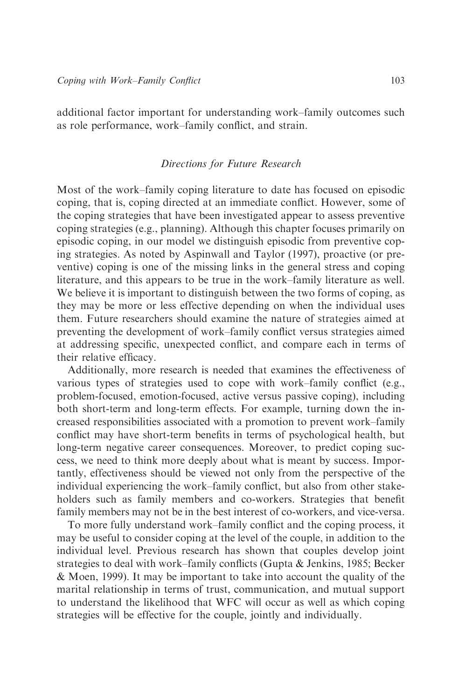additional factor important for understanding work–family outcomes such as role performance, work–family conflict, and strain.

#### Directions for Future Research

Most of the work–family coping literature to date has focused on episodic coping, that is, coping directed at an immediate conflict. However, some of the coping strategies that have been investigated appear to assess preventive coping strategies (e.g., planning). Although this chapter focuses primarily on episodic coping, in our model we distinguish episodic from preventive coping strategies. As noted by Aspinwall and Taylor (1997), proactive (or preventive) coping is one of the missing links in the general stress and coping literature, and this appears to be true in the work–family literature as well. We believe it is important to distinguish between the two forms of coping, as they may be more or less effective depending on when the individual uses them. Future researchers should examine the nature of strategies aimed at preventing the development of work–family conflict versus strategies aimed at addressing specific, unexpected conflict, and compare each in terms of their relative efficacy.

Additionally, more research is needed that examines the effectiveness of various types of strategies used to cope with work–family conflict (e.g., problem-focused, emotion-focused, active versus passive coping), including both short-term and long-term effects. For example, turning down the increased responsibilities associated with a promotion to prevent work–family conflict may have short-term benefits in terms of psychological health, but long-term negative career consequences. Moreover, to predict coping success, we need to think more deeply about what is meant by success. Importantly, effectiveness should be viewed not only from the perspective of the individual experiencing the work–family conflict, but also from other stakeholders such as family members and co-workers. Strategies that benefit family members may not be in the best interest of co-workers, and vice-versa.

To more fully understand work–family conflict and the coping process, it may be useful to consider coping at the level of the couple, in addition to the individual level. Previous research has shown that couples develop joint strategies to deal with work–family conflicts (Gupta & Jenkins, 1985; Becker & Moen, 1999). It may be important to take into account the quality of the marital relationship in terms of trust, communication, and mutual support to understand the likelihood that WFC will occur as well as which coping strategies will be effective for the couple, jointly and individually.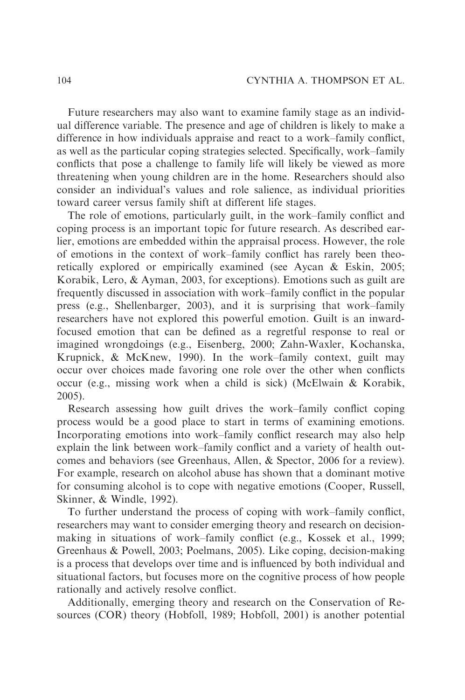Future researchers may also want to examine family stage as an individual difference variable. The presence and age of children is likely to make a difference in how individuals appraise and react to a work–family conflict, as well as the particular coping strategies selected. Specifically, work–family conflicts that pose a challenge to family life will likely be viewed as more threatening when young children are in the home. Researchers should also consider an individual's values and role salience, as individual priorities toward career versus family shift at different life stages.

The role of emotions, particularly guilt, in the work–family conflict and coping process is an important topic for future research. As described earlier, emotions are embedded within the appraisal process. However, the role of emotions in the context of work–family conflict has rarely been theoretically explored or empirically examined (see Aycan & Eskin, 2005; Korabik, Lero, & Ayman, 2003, for exceptions). Emotions such as guilt are frequently discussed in association with work–family conflict in the popular press (e.g., Shellenbarger, 2003), and it is surprising that work–family researchers have not explored this powerful emotion. Guilt is an inwardfocused emotion that can be defined as a regretful response to real or imagined wrongdoings (e.g., Eisenberg, 2000; Zahn-Waxler, Kochanska, Krupnick, & McKnew, 1990). In the work–family context, guilt may occur over choices made favoring one role over the other when conflicts occur (e.g., missing work when a child is sick) (McElwain & Korabik, 2005).

Research assessing how guilt drives the work–family conflict coping process would be a good place to start in terms of examining emotions. Incorporating emotions into work–family conflict research may also help explain the link between work–family conflict and a variety of health outcomes and behaviors (see Greenhaus, Allen, & Spector, 2006 for a review). For example, research on alcohol abuse has shown that a dominant motive for consuming alcohol is to cope with negative emotions (Cooper, Russell, Skinner, & Windle, 1992).

To further understand the process of coping with work–family conflict, researchers may want to consider emerging theory and research on decisionmaking in situations of work–family conflict (e.g., Kossek et al., 1999; Greenhaus & Powell, 2003; Poelmans, 2005). Like coping, decision-making is a process that develops over time and is influenced by both individual and situational factors, but focuses more on the cognitive process of how people rationally and actively resolve conflict.

Additionally, emerging theory and research on the Conservation of Resources (COR) theory (Hobfoll, 1989; Hobfoll, 2001) is another potential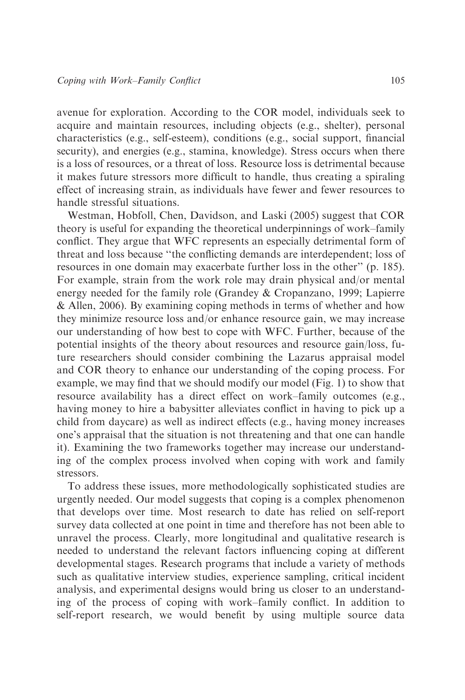avenue for exploration. According to the COR model, individuals seek to acquire and maintain resources, including objects (e.g., shelter), personal characteristics (e.g., self-esteem), conditions (e.g., social support, financial security), and energies (e.g., stamina, knowledge). Stress occurs when there is a loss of resources, or a threat of loss. Resource loss is detrimental because it makes future stressors more difficult to handle, thus creating a spiraling effect of increasing strain, as individuals have fewer and fewer resources to handle stressful situations.

Westman, Hobfoll, Chen, Davidson, and Laski (2005) suggest that COR theory is useful for expanding the theoretical underpinnings of work–family conflict. They argue that WFC represents an especially detrimental form of threat and loss because ''the conflicting demands are interdependent; loss of resources in one domain may exacerbate further loss in the other'' (p. 185). For example, strain from the work role may drain physical and/or mental energy needed for the family role (Grandey & Cropanzano, 1999; Lapierre & Allen, 2006). By examining coping methods in terms of whether and how they minimize resource loss and/or enhance resource gain, we may increase our understanding of how best to cope with WFC. Further, because of the potential insights of the theory about resources and resource gain/loss, future researchers should consider combining the Lazarus appraisal model and COR theory to enhance our understanding of the coping process. For example, we may find that we should modify our model (Fig. 1) to show that resource availability has a direct effect on work–family outcomes (e.g., having money to hire a babysitter alleviates conflict in having to pick up a child from daycare) as well as indirect effects (e.g., having money increases one's appraisal that the situation is not threatening and that one can handle it). Examining the two frameworks together may increase our understanding of the complex process involved when coping with work and family stressors.

To address these issues, more methodologically sophisticated studies are urgently needed. Our model suggests that coping is a complex phenomenon that develops over time. Most research to date has relied on self-report survey data collected at one point in time and therefore has not been able to unravel the process. Clearly, more longitudinal and qualitative research is needed to understand the relevant factors influencing coping at different developmental stages. Research programs that include a variety of methods such as qualitative interview studies, experience sampling, critical incident analysis, and experimental designs would bring us closer to an understanding of the process of coping with work–family conflict. In addition to self-report research, we would benefit by using multiple source data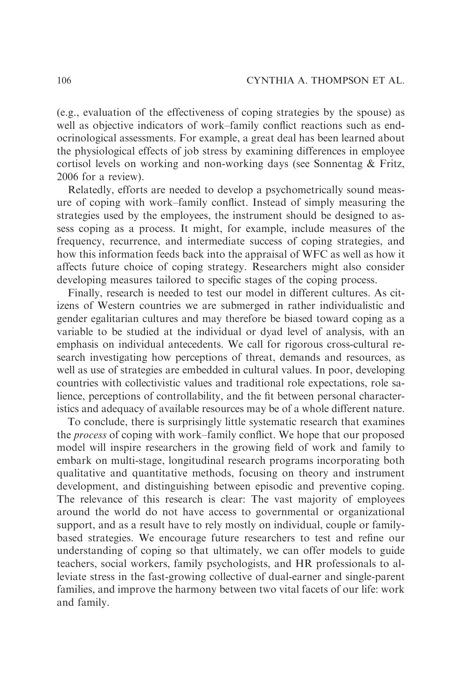(e.g., evaluation of the effectiveness of coping strategies by the spouse) as well as objective indicators of work–family conflict reactions such as endocrinological assessments. For example, a great deal has been learned about the physiological effects of job stress by examining differences in employee cortisol levels on working and non-working days (see Sonnentag & Fritz, 2006 for a review).

Relatedly, efforts are needed to develop a psychometrically sound measure of coping with work–family conflict. Instead of simply measuring the strategies used by the employees, the instrument should be designed to assess coping as a process. It might, for example, include measures of the frequency, recurrence, and intermediate success of coping strategies, and how this information feeds back into the appraisal of WFC as well as how it affects future choice of coping strategy. Researchers might also consider developing measures tailored to specific stages of the coping process.

Finally, research is needed to test our model in different cultures. As citizens of Western countries we are submerged in rather individualistic and gender egalitarian cultures and may therefore be biased toward coping as a variable to be studied at the individual or dyad level of analysis, with an emphasis on individual antecedents. We call for rigorous cross-cultural research investigating how perceptions of threat, demands and resources, as well as use of strategies are embedded in cultural values. In poor, developing countries with collectivistic values and traditional role expectations, role salience, perceptions of controllability, and the fit between personal characteristics and adequacy of available resources may be of a whole different nature.

To conclude, there is surprisingly little systematic research that examines the process of coping with work–family conflict. We hope that our proposed model will inspire researchers in the growing field of work and family to embark on multi-stage, longitudinal research programs incorporating both qualitative and quantitative methods, focusing on theory and instrument development, and distinguishing between episodic and preventive coping. The relevance of this research is clear: The vast majority of employees around the world do not have access to governmental or organizational support, and as a result have to rely mostly on individual, couple or familybased strategies. We encourage future researchers to test and refine our understanding of coping so that ultimately, we can offer models to guide teachers, social workers, family psychologists, and HR professionals to alleviate stress in the fast-growing collective of dual-earner and single-parent families, and improve the harmony between two vital facets of our life: work and family.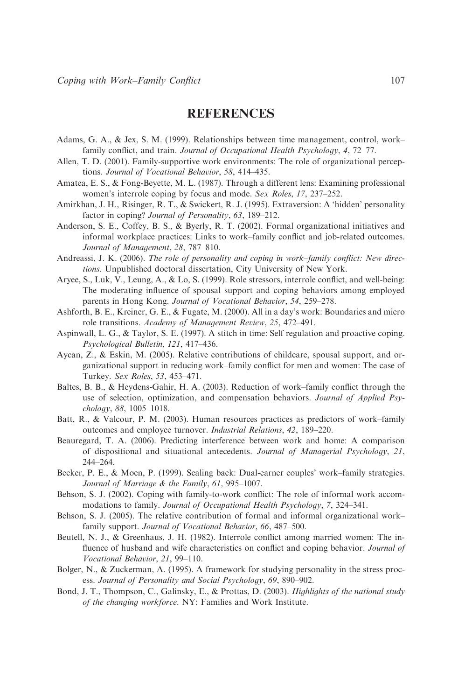## **REFERENCES**

- Adams, G. A., & Jex, S. M. (1999). Relationships between time management, control, work– family conflict, and train. Journal of Occupational Health Psychology, 4, 72–77.
- Allen, T. D. (2001). Family-supportive work environments: The role of organizational perceptions. Journal of Vocational Behavior, 58, 414–435.
- Amatea, E. S., & Fong-Beyette, M. L. (1987). Through a different lens: Examining professional women's interrole coping by focus and mode. Sex Roles, 17, 237–252.
- Amirkhan, J. H., Risinger, R. T., & Swickert, R. J. (1995). Extraversion: A 'hidden' personality factor in coping? Journal of Personality, 63, 189–212.
- Anderson, S. E., Coffey, B. S., & Byerly, R. T. (2002). Formal organizational initiatives and informal workplace practices: Links to work–family conflict and job-related outcomes. Journal of Management, 28, 787–810.
- Andreassi, J. K. (2006). The role of personality and coping in work–family conflict: New directions. Unpublished doctoral dissertation, City University of New York.
- Aryee, S., Luk, V., Leung, A., & Lo, S. (1999). Role stressors, interrole conflict, and well-being: The moderating influence of spousal support and coping behaviors among employed parents in Hong Kong. Journal of Vocational Behavior, 54, 259–278.
- Ashforth, B. E., Kreiner, G. E., & Fugate, M. (2000). All in a day's work: Boundaries and micro role transitions. Academy of Management Review, 25, 472–491.
- Aspinwall, L. G., & Taylor, S. E. (1997). A stitch in time: Self regulation and proactive coping. Psychological Bulletin, 121, 417–436.
- Aycan, Z., & Eskin, M. (2005). Relative contributions of childcare, spousal support, and organizational support in reducing work–family conflict for men and women: The case of Turkey. Sex Roles, 53, 453–471.
- Baltes, B. B., & Heydens-Gahir, H. A. (2003). Reduction of work–family conflict through the use of selection, optimization, and compensation behaviors. Journal of Applied Psychology, 88, 1005–1018.
- Batt, R., & Valcour, P. M. (2003). Human resources practices as predictors of work–family outcomes and employee turnover. Industrial Relations, 42, 189–220.
- Beauregard, T. A. (2006). Predicting interference between work and home: A comparison of dispositional and situational antecedents. Journal of Managerial Psychology, 21, 244–264.
- Becker, P. E., & Moen, P. (1999). Scaling back: Dual-earner couples' work–family strategies. Journal of Marriage & the Family, 61, 995-1007.
- Behson, S. J. (2002). Coping with family-to-work conflict: The role of informal work accommodations to family. Journal of Occupational Health Psychology, 7, 324–341.
- Behson, S. J. (2005). The relative contribution of formal and informal organizational work– family support. Journal of Vocational Behavior, 66, 487–500.
- Beutell, N. J., & Greenhaus, J. H. (1982). Interrole conflict among married women: The influence of husband and wife characteristics on conflict and coping behavior. Journal of Vocational Behavior, 21, 99–110.
- Bolger, N., & Zuckerman, A. (1995). A framework for studying personality in the stress process. Journal of Personality and Social Psychology, 69, 890–902.
- Bond, J. T., Thompson, C., Galinsky, E., & Prottas, D. (2003). Highlights of the national study of the changing workforce. NY: Families and Work Institute.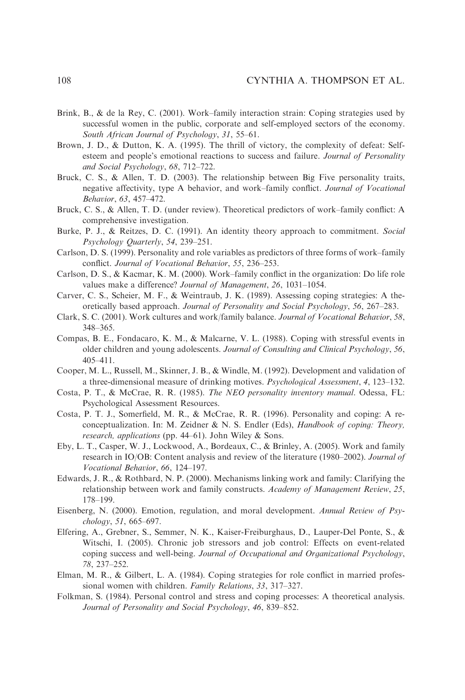- Brink, B., & de la Rey, C. (2001). Work–family interaction strain: Coping strategies used by successful women in the public, corporate and self-employed sectors of the economy. South African Journal of Psychology, 31, 55–61.
- Brown, J. D., & Dutton, K. A. (1995). The thrill of victory, the complexity of defeat: Selfesteem and people's emotional reactions to success and failure. Journal of Personality and Social Psychology, 68, 712–722.
- Bruck, C. S., & Allen, T. D. (2003). The relationship between Big Five personality traits, negative affectivity, type A behavior, and work–family conflict. Journal of Vocational Behavior, 63, 457–472.
- Bruck, C. S., & Allen, T. D. (under review). Theoretical predictors of work–family conflict: A comprehensive investigation.
- Burke, P. J., & Reitzes, D. C. (1991). An identity theory approach to commitment. Social Psychology Quarterly, 54, 239–251.
- Carlson, D. S. (1999). Personality and role variables as predictors of three forms of work–family conflict. Journal of Vocational Behavior, 55, 236–253.
- Carlson, D. S., & Kacmar, K. M. (2000). Work–family conflict in the organization: Do life role values make a difference? Journal of Management, 26, 1031–1054.
- Carver, C. S., Scheier, M. F., & Weintraub, J. K. (1989). Assessing coping strategies: A theoretically based approach. Journal of Personality and Social Psychology, 56, 267–283.
- Clark, S. C. (2001). Work cultures and work/family balance. Journal of Vocational Behavior, 58, 348–365.
- Compas, B. E., Fondacaro, K. M., & Malcarne, V. L. (1988). Coping with stressful events in older children and young adolescents. Journal of Consulting and Clinical Psychology, 56, 405–411.
- Cooper, M. L., Russell, M., Skinner, J. B., & Windle, M. (1992). Development and validation of a three-dimensional measure of drinking motives. Psychological Assessment, 4, 123–132.
- Costa, P. T., & McCrae, R. R. (1985). The NEO personality inventory manual. Odessa, FL: Psychological Assessment Resources.
- Costa, P. T. J., Somerfield, M. R., & McCrae, R. R. (1996). Personality and coping: A reconceptualization. In: M. Zeidner & N. S. Endler (Eds), Handbook of coping: Theory, research, applications (pp. 44–61). John Wiley & Sons.
- Eby, L. T., Casper, W. J., Lockwood, A., Bordeaux, C., & Brinley, A. (2005). Work and family research in IO/OB: Content analysis and review of the literature (1980–2002). Journal of Vocational Behavior, 66, 124–197.
- Edwards, J. R., & Rothbard, N. P. (2000). Mechanisms linking work and family: Clarifying the relationship between work and family constructs. Academy of Management Review, 25, 178–199.
- Eisenberg, N. (2000). Emotion, regulation, and moral development. Annual Review of Psychology, 51, 665–697.
- Elfering, A., Grebner, S., Semmer, N. K., Kaiser-Freiburghaus, D., Lauper-Del Ponte, S., & Witschi, I. (2005). Chronic job stressors and job control: Effects on event-related coping success and well-being. Journal of Occupational and Organizational Psychology, 78, 237–252.
- Elman, M. R., & Gilbert, L. A. (1984). Coping strategies for role conflict in married professional women with children. Family Relations, 33, 317–327.
- Folkman, S. (1984). Personal control and stress and coping processes: A theoretical analysis. Journal of Personality and Social Psychology, 46, 839–852.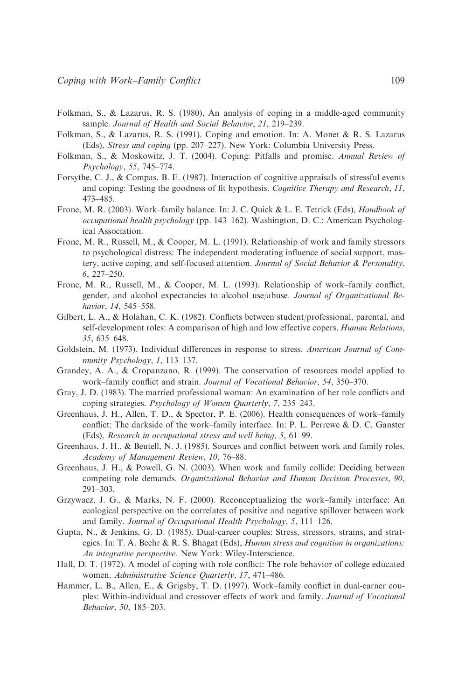- Folkman, S., & Lazarus, R. S. (1980). An analysis of coping in a middle-aged community sample. Journal of Health and Social Behavior, 21, 219-239.
- Folkman, S., & Lazarus, R. S. (1991). Coping and emotion. In: A. Monet & R. S. Lazarus (Eds), Stress and coping (pp. 207–227). New York: Columbia University Press.
- Folkman, S., & Moskowitz, J. T. (2004). Coping: Pitfalls and promise. Annual Review of Psychology, 55, 745–774.
- Forsythe, C. J., & Compas, B. E. (1987). Interaction of cognitive appraisals of stressful events and coping: Testing the goodness of fit hypothesis. Cognitive Therapy and Research, 11, 473–485.
- Frone, M. R. (2003). Work–family balance. In: J. C. Quick & L. E. Tetrick (Eds), *Handbook of* occupational health psychology (pp. 143–162). Washington, D. C.: American Psychological Association.
- Frone, M. R., Russell, M., & Cooper, M. L. (1991). Relationship of work and family stressors to psychological distress: The independent moderating influence of social support, mastery, active coping, and self-focused attention. Journal of Social Behavior & Personality, 6, 227–250.
- Frone, M. R., Russell, M., & Cooper, M. L. (1993). Relationship of work–family conflict, gender, and alcohol expectancies to alcohol use/abuse. Journal of Organizational Behavior, 14, 545–558.
- Gilbert, L. A., & Holahan, C. K. (1982). Conflicts between student/professional, parental, and self-development roles: A comparison of high and low effective copers. *Human Relations*, 35, 635–648.
- Goldstein, M. (1973). Individual differences in response to stress. American Journal of Community Psychology, 1, 113–137.
- Grandey, A. A., & Cropanzano, R. (1999). The conservation of resources model applied to work–family conflict and strain. Journal of Vocational Behavior, 54, 350–370.
- Gray, J. D. (1983). The married professional woman: An examination of her role conflicts and coping strategies. Psychology of Women Quarterly, 7, 235–243.
- Greenhaus, J. H., Allen, T. D., & Spector, P. E. (2006). Health consequences of work–family conflict: The darkside of the work–family interface. In: P. L. Perrewe & D. C. Ganster (Eds), Research in occupational stress and well being, 5, 61–99.
- Greenhaus, J. H., & Beutell, N. J. (1985). Sources and conflict between work and family roles. Academy of Management Review, 10, 76–88.
- Greenhaus, J. H., & Powell, G. N. (2003). When work and family collide: Deciding between competing role demands. Organizational Behavior and Human Decision Processes, 90, 291–303.
- Grzywacz, J. G., & Marks, N. F. (2000). Reconceptualizing the work–family interface: An ecological perspective on the correlates of positive and negative spillover between work and family. Journal of Occupational Health Psychology, 5, 111–126.
- Gupta, N., & Jenkins, G. D. (1985). Dual-career couples: Stress, stressors, strains, and strategies. In: T. A. Beehr & R. S. Bhagat (Eds), Human stress and cognition in organizations: An integrative perspective. New York: Wiley-Interscience.
- Hall, D. T. (1972). A model of coping with role conflict: The role behavior of college educated women. Administrative Science Quarterly, 17, 471–486.
- Hammer, L. B., Allen, E., & Grigsby, T. D. (1997). Work–family conflict in dual-earner couples: Within-individual and crossover effects of work and family. Journal of Vocational Behavior, 50, 185–203.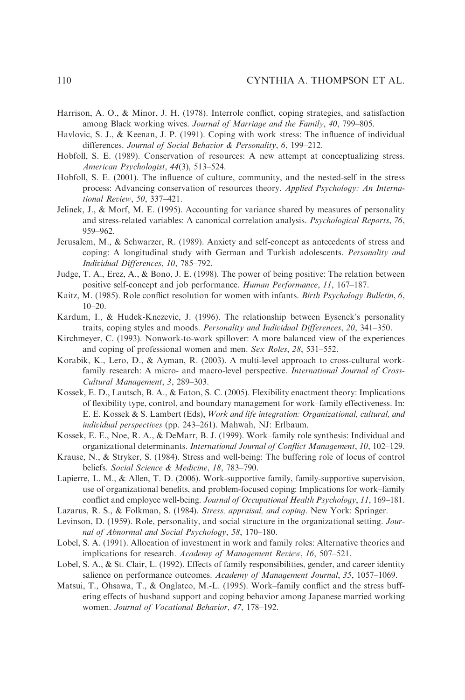- Harrison, A. O., & Minor, J. H. (1978). Interrole conflict, coping strategies, and satisfaction among Black working wives. Journal of Marriage and the Family, 40, 799–805.
- Havlovic, S. J., & Keenan, J. P. (1991). Coping with work stress: The influence of individual differences. Journal of Social Behavior & Personality, 6, 199-212.
- Hobfoll, S. E. (1989). Conservation of resources: A new attempt at conceptualizing stress. American Psychologist, 44(3), 513–524.
- Hobfoll, S. E. (2001). The influence of culture, community, and the nested-self in the stress process: Advancing conservation of resources theory. Applied Psychology: An International Review, 50, 337–421.
- Jelinek, J., & Morf, M. E. (1995). Accounting for variance shared by measures of personality and stress-related variables: A canonical correlation analysis. Psychological Reports, 76, 959–962.
- Jerusalem, M., & Schwarzer, R. (1989). Anxiety and self-concept as antecedents of stress and coping: A longitudinal study with German and Turkish adolescents. Personality and Individual Differences, 10, 785–792.
- Judge, T. A., Erez, A., & Bono, J. E. (1998). The power of being positive: The relation between positive self-concept and job performance. Human Performance, 11, 167–187.
- Kaitz, M. (1985). Role conflict resolution for women with infants. Birth Psychology Bulletin, 6, 10–20.
- Kardum, I., & Hudek-Knezevic, J. (1996). The relationship between Eysenck's personality traits, coping styles and moods. Personality and Individual Differences, 20, 341–350.
- Kirchmeyer, C. (1993). Nonwork-to-work spillover: A more balanced view of the experiences and coping of professional women and men. Sex Roles, 28, 531–552.
- Korabik, K., Lero, D., & Ayman, R. (2003). A multi-level approach to cross-cultural workfamily research: A micro- and macro-level perspective. International Journal of Cross-Cultural Management, 3, 289–303.
- Kossek, E. D., Lautsch, B. A., & Eaton, S. C. (2005). Flexibility enactment theory: Implications of flexibility type, control, and boundary management for work–family effectiveness. In: E. E. Kossek & S. Lambert (Eds), Work and life integration: Organizational, cultural, and individual perspectives (pp. 243–261). Mahwah, NJ: Erlbaum.
- Kossek, E. E., Noe, R. A., & DeMarr, B. J. (1999). Work–family role synthesis: Individual and organizational determinants. International Journal of Conflict Management, 10, 102–129.
- Krause, N., & Stryker, S. (1984). Stress and well-being: The buffering role of locus of control beliefs. Social Science & Medicine, 18, 783–790.
- Lapierre, L. M., & Allen, T. D. (2006). Work-supportive family, family-supportive supervision, use of organizational benefits, and problem-focused coping: Implications for work–family conflict and employee well-being. Journal of Occupational Health Psychology, 11, 169–181.
- Lazarus, R. S., & Folkman, S. (1984). Stress, appraisal, and coping. New York: Springer.
- Levinson, D. (1959). Role, personality, and social structure in the organizational setting. Journal of Abnormal and Social Psychology, 58, 170–180.
- Lobel, S. A. (1991). Allocation of investment in work and family roles: Alternative theories and implications for research. Academy of Management Review, 16, 507–521.
- Lobel, S. A., & St. Clair, L. (1992). Effects of family responsibilities, gender, and career identity salience on performance outcomes. Academy of Management Journal, 35, 1057-1069.
- Matsui, T., Ohsawa, T., & Onglatco, M.-L. (1995). Work–family conflict and the stress buffering effects of husband support and coping behavior among Japanese married working women. Journal of Vocational Behavior, 47, 178–192.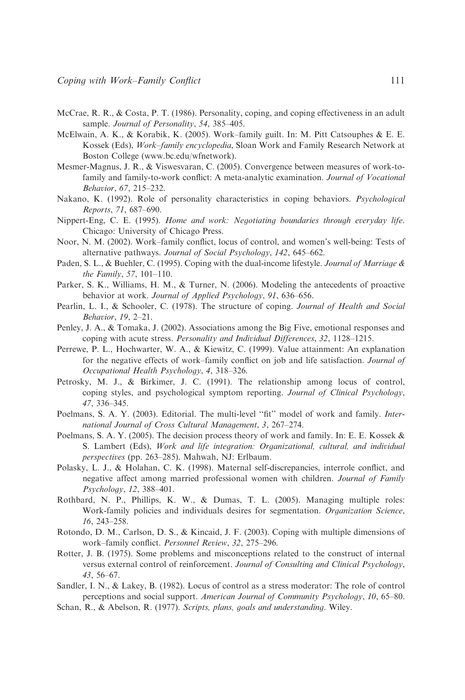- McCrae, R. R., & Costa, P. T. (1986). Personality, coping, and coping effectiveness in an adult sample. Journal of Personality, 54, 385-405.
- McElwain, A. K., & Korabik, K. (2005). Work–family guilt. In: M. Pitt Catsouphes & E. E. Kossek (Eds), Work–family encyclopedia, Sloan Work and Family Research Network at Boston College (www.bc.edu/wfnetwork).
- Mesmer-Magnus, J. R., & Viswesvaran, C. (2005). Convergence between measures of work-tofamily and family-to-work conflict: A meta-analytic examination. Journal of Vocational Behavior, 67, 215–232.
- Nakano, K. (1992). Role of personality characteristics in coping behaviors. *Psychological* Reports, 71, 687–690.
- Nippert-Eng, C. E. (1995). Home and work: Negotiating boundaries through everyday life. Chicago: University of Chicago Press.
- Noor, N. M. (2002). Work–family conflict, locus of control, and women's well-being: Tests of alternative pathways. Journal of Social Psychology, 142, 645–662.
- Paden, S. L., & Buehler, C. (1995). Coping with the dual-income lifestyle. Journal of Marriage & the Family, 57, 101–110.
- Parker, S. K., Williams, H. M., & Turner, N. (2006). Modeling the antecedents of proactive behavior at work. Journal of Applied Psychology, 91, 636–656.
- Pearlin, L. I., & Schooler, C. (1978). The structure of coping. Journal of Health and Social Behavior, 19, 2–21.
- Penley, J. A., & Tomaka, J. (2002). Associations among the Big Five, emotional responses and coping with acute stress. Personality and Individual Differences, 32, 1128–1215.
- Perrewe, P. L., Hochwarter, W. A., & Kiewitz, C. (1999). Value attainment: An explanation for the negative effects of work–family conflict on job and life satisfaction. Journal of Occupational Health Psychology, 4, 318–326.
- Petrosky, M. J., & Birkimer, J. C. (1991). The relationship among locus of control, coping styles, and psychological symptom reporting. Journal of Clinical Psychology, 47, 336–345.
- Poelmans, S. A. Y. (2003). Editorial. The multi-level "fit" model of work and family. *Inter*national Journal of Cross Cultural Management, 3, 267–274.
- Poelmans, S. A. Y. (2005). The decision process theory of work and family. In: E. E. Kossek & S. Lambert (Eds), Work and life integration: Organizational, cultural, and individual perspectives (pp. 263–285). Mahwah, NJ: Erlbaum.
- Polasky, L. J., & Holahan, C. K. (1998). Maternal self-discrepancies, interrole conflict, and negative affect among married professional women with children. Journal of Family Psychology, 12, 388–401.
- Rothbard, N. P., Phillips, K. W., & Dumas, T. L. (2005). Managing multiple roles: Work-family policies and individuals desires for segmentation. Organization Science, 16, 243–258.
- Rotondo, D. M., Carlson, D. S., & Kincaid, J. F. (2003). Coping with multiple dimensions of work–family conflict. Personnel Review, 32, 275–296.
- Rotter, J. B. (1975). Some problems and misconceptions related to the construct of internal versus external control of reinforcement. Journal of Consulting and Clinical Psychology, 43, 56–67.
- Sandler, I. N., & Lakey, B. (1982). Locus of control as a stress moderator: The role of control perceptions and social support. American Journal of Community Psychology, 10, 65–80.
- Schan, R., & Abelson, R. (1977). Scripts, plans, goals and understanding. Wiley.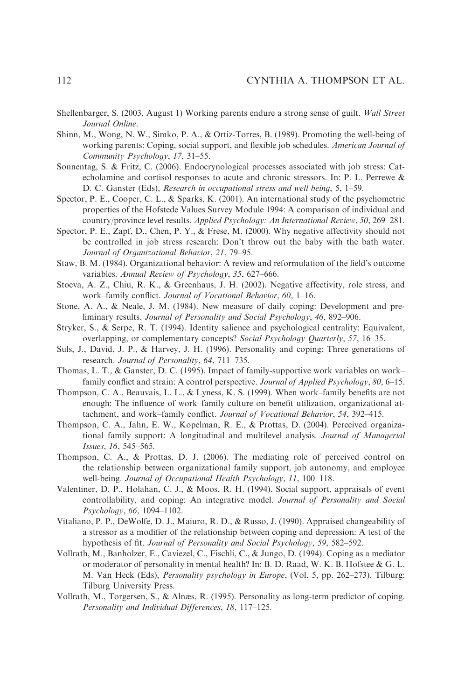- Shellenbarger, S. (2003, August 1) Working parents endure a strong sense of guilt. Wall Street Journal Online.
- Shinn, M., Wong, N. W., Simko, P. A., & Ortiz-Torres, B. (1989). Promoting the well-being of working parents: Coping, social support, and flexible job schedules. American Journal of Community Psychology, 17, 31–55.
- Sonnentag, S. & Fritz, C. (2006). Endocrynological processes associated with job stress: Catecholamine and cortisol responses to acute and chronic stressors. In: P. L. Perrewe & D. C. Ganster (Eds), Research in occupational stress and well being, 5, 1–59.
- Spector, P. E., Cooper, C. L., & Sparks, K. (2001). An international study of the psychometric properties of the Hofstede Values Survey Module 1994: A comparison of individual and country/province level results. Applied Psychology: An International Review, 50, 269–281.
- Spector, P. E., Zapf, D., Chen, P. Y., & Frese, M. (2000). Why negative affectivity should not be controlled in job stress research: Don't throw out the baby with the bath water. Journal of Organizational Behavior, 21, 79–95.
- Staw, B. M. (1984). Organizational behavior: A review and reformulation of the field's outcome variables. Annual Review of Psychology, 35, 627–666.
- Stoeva, A. Z., Chiu, R. K., & Greenhaus, J. H. (2002). Negative affectivity, role stress, and work–family conflict. Journal of Vocational Behavior, 60, 1–16.
- Stone, A. A., & Neale, J. M. (1984). New measure of daily coping: Development and preliminary results. Journal of Personality and Social Psychology, 46, 892–906.
- Stryker, S., & Serpe, R. T. (1994). Identity salience and psychological centrality: Equivalent, overlapping, or complementary concepts? Social Psychology Quarterly, 57, 16–35.
- Suls, J., David, J. P., & Harvey, J. H. (1996). Personality and coping: Three generations of research. Journal of Personality, 64, 711–735.
- Thomas, L. T., & Ganster, D. C. (1995). Impact of family-supportive work variables on work– family conflict and strain: A control perspective. Journal of Applied Psychology, 80, 6–15.
- Thompson, C. A., Beauvais, L. L., & Lyness, K. S. (1999). When work–family benefits are not enough: The influence of work–family culture on benefit utilization, organizational attachment, and work–family conflict. Journal of Vocational Behavior, 54, 392–415.
- Thompson, C. A., Jahn, E. W., Kopelman, R. E., & Prottas, D. (2004). Perceived organizational family support: A longitudinal and multilevel analysis. Journal of Managerial Issues, 16, 545–565.
- Thompson, C. A., & Prottas, D. J. (2006). The mediating role of perceived control on the relationship between organizational family support, job autonomy, and employee well-being. Journal of Occupational Health Psychology, 11, 100-118.
- Valentiner, D. P., Holahan, C. J., & Moos, R. H. (1994). Social support, appraisals of event controllability, and coping: An integrative model. Journal of Personality and Social Psychology, 66, 1094–1102.
- Vitaliano, P. P., DeWolfe, D. J., Maiuro, R. D., & Russo, J. (1990). Appraised changeability of a stressor as a modifier of the relationship between coping and depression: A test of the hypothesis of fit. Journal of Personality and Social Psychology, 59, 582–592.
- Vollrath, M., Banholzer, E., Caviezel, C., Fischli, C., & Jungo, D. (1994). Coping as a mediator or moderator of personality in mental health? In: B. D. Raad, W. K. B. Hofstee & G. L. M. Van Heck (Eds), Personality psychology in Europe, (Vol. 5, pp. 262–273). Tilburg: Tilburg University Press.
- Vollrath, M., Torgersen, S., & Alnæs, R. (1995). Personality as long-term predictor of coping. Personality and Individual Differences, 18, 117–125.